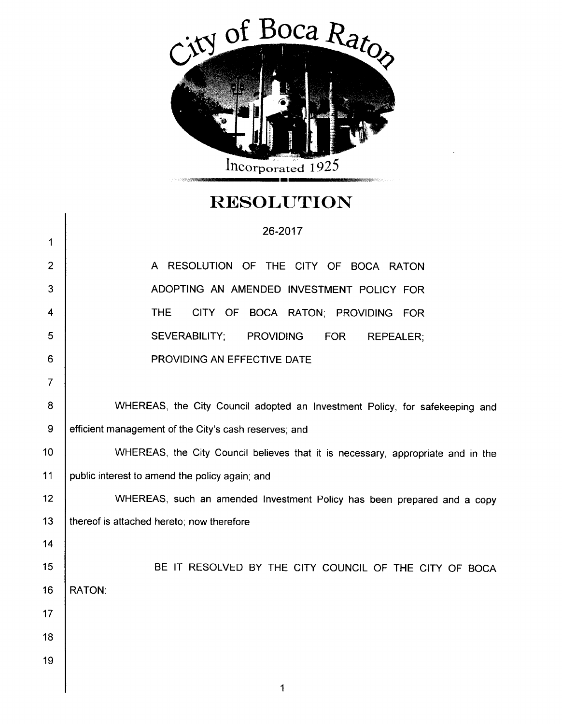

## **RESOLUTION**

|                | $\sim$ $\sim$ $\sim$ $\sim$ $\sim$ $\sim$                                       |
|----------------|---------------------------------------------------------------------------------|
|                | 26-2017                                                                         |
| 1              |                                                                                 |
| 2              | A RESOLUTION OF THE CITY OF BOCA RATON                                          |
| 3              | ADOPTING AN AMENDED INVESTMENT POLICY FOR                                       |
| 4              | THE.<br>BOCA RATON; PROVIDING FOR<br>CITY OF                                    |
| 5              | <b>SEVERABILITY:</b><br><b>PROVIDING</b><br><b>FOR</b><br><b>REPEALER:</b>      |
| 6              | PROVIDING AN EFFECTIVE DATE                                                     |
| $\overline{7}$ |                                                                                 |
| 8              | WHEREAS, the City Council adopted an Investment Policy, for safekeeping and     |
| 9              | efficient management of the City's cash reserves; and                           |
| 10             | WHEREAS, the City Council believes that it is necessary, appropriate and in the |
| 11             | public interest to amend the policy again; and                                  |
| 12             | WHEREAS, such an amended Investment Policy has been prepared and a copy         |
| 13             | thereof is attached hereto; now therefore                                       |
| 14             |                                                                                 |
| 15             | BE IT RESOLVED BY THE CITY COUNCIL OF THE CITY OF BOCA                          |
| 16             | <b>RATON:</b>                                                                   |
| 17             |                                                                                 |
| 18             |                                                                                 |
| 19             |                                                                                 |

1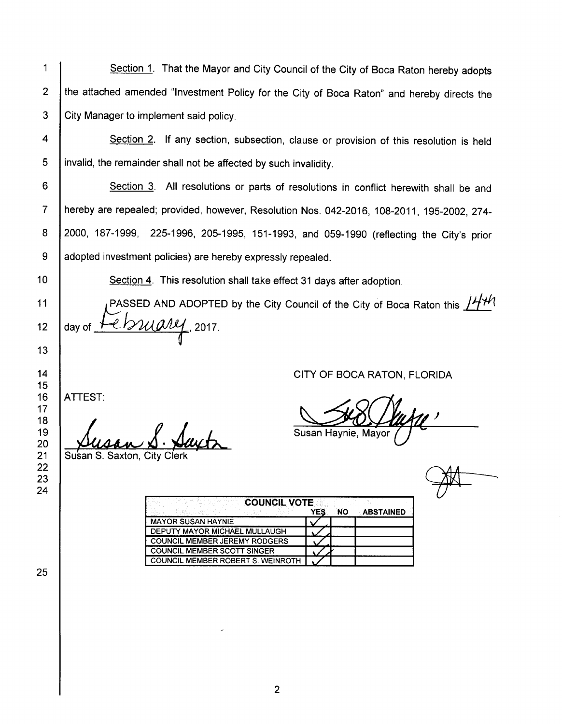1 2 3 4 5 6 7 8 9 10 11 12 13 14 15 16 17 18 19 20 21 22 23 24 25 Section 1. That the Mayor and City Council of the City of Boca Raton hereby adopts the attached amended "Investment Policy for the City of Boca Raton" and hereby directs the City Manager to implement said policy. Section 2. If any section, subsection, clause or provision of this resolution is held invalid, the remainder shall not be affected by such invalidity. Section 3. All resolutions or parts of resolutions in conflict herewith shall be and hereby are repealed; provided, however, Resolution Nos. 042-2016, 108-2011, 195-2002, 274-2000, 187- 1999, 225- 1996, 205- 1995, 151- 1993, and 059- 1990 ( reflecting the City's prior adopted investment policies) are hereby expressly repealed. Section 4. This resolution shall take effect 31 days after adoption. PASSED AND ADOPTED by the City Council of the City of Boca Raton this  $1444$ day of  $H$  /  $\mathcal{WU}\llap{0.12mm}{1.2017}$ . ATTEST: Lusan S. <u>Day</u> Susan S. Saxton, City CITY OF BOCA RATON, FLORIDA J Susan Haynie, Mayor COUNCIL VOTE YES NO ABSTAINED MAYOR SUSAN HAYNIE DEPUTY MAYOR MICHAEL MULLAUGH COUNCIL MEMBER JEREMY RODGERS COUNCIL MEMBER SCOTT SINGER COUNCIL MEMBER ROBERT S. WEINROTH

E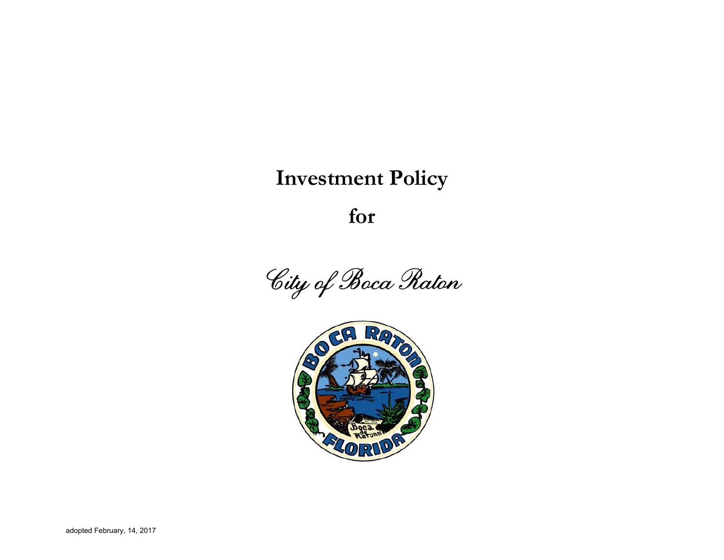# **Investment Policy**

**for** 



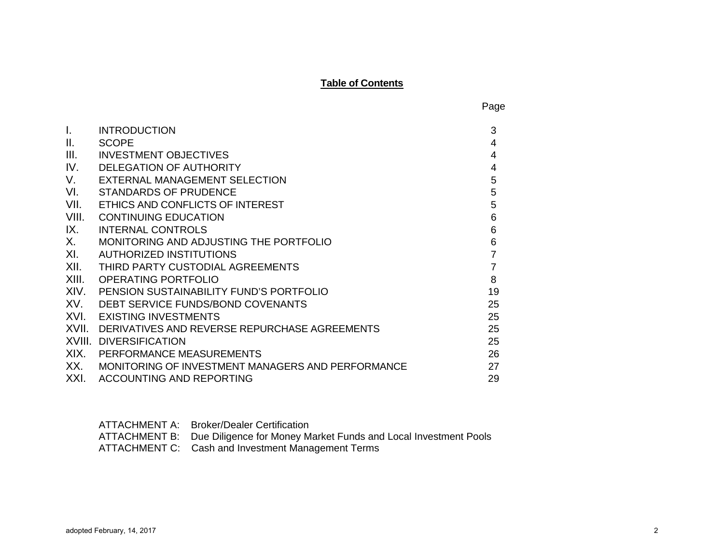#### **Table of Contents**

Page

| <b>INTRODUCTION</b>                               | 3  |
|---------------------------------------------------|----|
| <b>SCOPE</b>                                      | 4  |
| <b>INVESTMENT OBJECTIVES</b>                      | 4  |
| <b>DELEGATION OF AUTHORITY</b>                    | 4  |
| <b>EXTERNAL MANAGEMENT SELECTION</b>              | 5  |
| <b>STANDARDS OF PRUDENCE</b>                      | 5  |
| ETHICS AND CONFLICTS OF INTEREST                  | 5  |
| <b>CONTINUING EDUCATION</b>                       | 6  |
| <b>INTERNAL CONTROLS</b>                          | 6  |
| MONITORING AND ADJUSTING THE PORTFOLIO            | 6  |
| AUTHORIZED INSTITUTIONS                           | 7  |
| THIRD PARTY CUSTODIAL AGREEMENTS                  | 7  |
| <b>OPERATING PORTFOLIO</b>                        | 8  |
| PENSION SUSTAINABILITY FUND'S PORTFOLIO           | 19 |
| DEBT SERVICE FUNDS/BOND COVENANTS                 | 25 |
| <b>EXISTING INVESTMENTS</b>                       | 25 |
| DERIVATIVES AND REVERSE REPURCHASE AGREEMENTS     | 25 |
| <b>DIVERSIFICATION</b>                            | 25 |
| PERFORMANCE MEASUREMENTS                          | 26 |
| MONITORING OF INVESTMENT MANAGERS AND PERFORMANCE | 27 |
| <b>ACCOUNTING AND REPORTING</b>                   | 29 |
|                                                   |    |

ATTACHMENT A: Broker/Dealer Certification ATTACHMENT B: Due Diligence for Money Market Funds and Local Investment Pools ATTACHMENT C: Cash and Investment Management Terms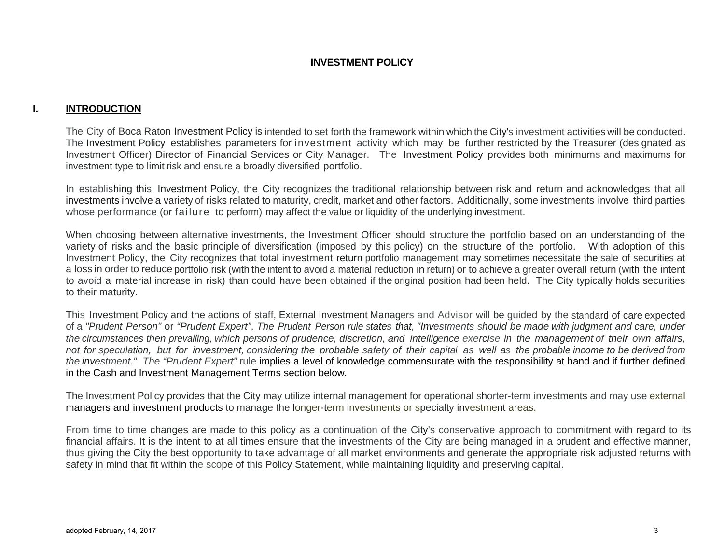## **INVESTMENT POLICY**

## **I. INTRODUCTION**

The City of Boca Raton Investment Policy is intended to set forth the framework within which the City's investment activities will be conducted. The Investment Policy establishes parameters for investment activity which may be further restricted by the Treasurer (designated as Investment Officer) Director of Financial Services or City Manager. The Investment Policy provides both minimums and maximums for investment type to limit risk and ensure a broadly diversified portfolio.

In establishing this Investment Policy, the City recognizes the traditional relationship between risk and return and acknowledges that all investments involve a variety of risks related to maturity, credit, market and other factors. Additionally, some investments involve third parties whose performance (or failure to perform) may affect the value or liquidity of the underlying investment.

When choosing between alternative investments, the Investment Officer should structure the portfolio based on an understanding of the variety of risks and the basic principle of diversification (imposed by this policy) on the structure of the portfolio. With adoption of this Investment Policy, the City recognizes that total investment return portfolio management may sometimes necessitate the sale of securities at a loss in order to reduce portfolio risk (with the intent to avoid a material reduction in return) or to achieve a greater overall return (with the intent to avoid a material increase in risk) than could have been obtained if the original position had been held. The City typically holds securities to their maturity.

This Investment Policy and the actions of staff, External Investment Managers and Advisor will be guided by the standard of care expected of a *"Prudent Person"* or *"Prudent Expert"*. *The Prudent Person rule states that, "Investments should be made with judgment and care, under the circumstances then prevailing, which persons of prudence, discretion, and intelligence exercise in the management of their own affairs, not for speculation, but for investment, considering the probable safety of their capital as well as the probable income to be derived from the investment." The "Prudent Expert"* rule implies a level of knowledge commensurate with the responsibility at hand and if further defined in the Cash and Investment Management Terms section below*.* 

The Investment Policy provides that the City may utilize internal management for operational shorter-term investments and may use external managers and investment products to manage the longer-term investments or specialty investment areas.

From time to time changes are made to this policy as a continuation of the City's conservative approach to commitment with regard to its financial affairs. It is the intent to at all times ensure that the investments of the City are being managed in a prudent and effective manner, thus giving the City the best opportunity to take advantage of all market environments and generate the appropriate risk adjusted returns with safety in mind that fit within the scope of this Policy Statement, while maintaining liquidity and preserving capital.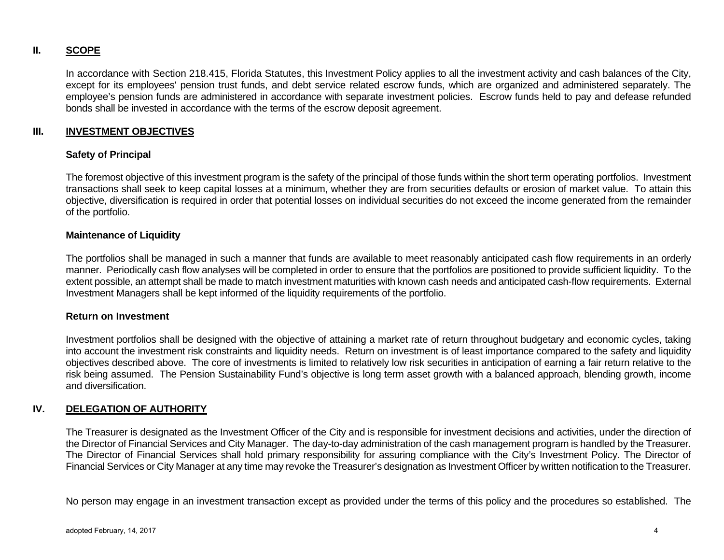## **II. SCOPE**

In accordance with Section 218.415, Florida Statutes, this Investment Policy applies to all the investment activity and cash balances of the City, except for its employees' pension trust funds, and debt service related escrow funds, which are organized and administered separately. The employee's pension funds are administered in accordance with separate investment policies. Escrow funds held to pay and defease refunded bonds shall be invested in accordance with the terms of the escrow deposit agreement.

## **III. INVESTMENT OBJECTIVES**

## **Safety of Principal**

The foremost objective of this investment program is the safety of the principal of those funds within the short term operating portfolios. Investment transactions shall seek to keep capital losses at a minimum, whether they are from securities defaults or erosion of market value. To attain this objective, diversification is required in order that potential losses on individual securities do not exceed the income generated from the remainder of the portfolio.

#### **Maintenance of Liquidity**

The portfolios shall be managed in such a manner that funds are available to meet reasonably anticipated cash flow requirements in an orderly manner. Periodically cash flow analyses will be completed in order to ensure that the portfolios are positioned to provide sufficient liquidity. To the extent possible, an attempt shall be made to match investment maturities with known cash needs and anticipated cash-flow requirements. External Investment Managers shall be kept informed of the liquidity requirements of the portfolio.

#### **Return on Investment**

Investment portfolios shall be designed with the objective of attaining a market rate of return throughout budgetary and economic cycles, taking into account the investment risk constraints and liquidity needs. Return on investment is of least importance compared to the safety and liquidity objectives described above. The core of investments is limited to relatively low risk securities in anticipation of earning a fair return relative to the risk being assumed. The Pension Sustainability Fund's objective is long term asset growth with a balanced approach, blending growth, income and diversification.

## **IV. DELEGATION OF AUTHORITY**

The Treasurer is designated as the Investment Officer of the City and is responsible for investment decisions and activities, under the direction of the Director of Financial Services and City Manager. The day-to-day administration of the cash management program is handled by the Treasurer. The Director of Financial Services shall hold primary responsibility for assuring compliance with the City's Investment Policy. The Director of Financial Services or City Manager at any time may revoke the Treasurer's designation as Investment Officer by written notification to the Treasurer.

No person may engage in an investment transaction except as provided under the terms of this policy and the procedures so established. The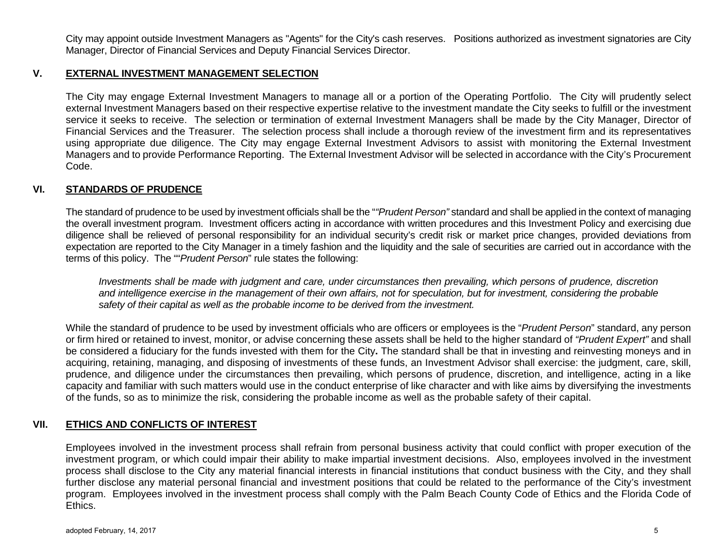City may appoint outside Investment Managers as "Agents" for the City's cash reserves. Positions authorized as investment signatories are City Manager, Director of Financial Services and Deputy Financial Services Director.

## **V. EXTERNAL INVESTMENT MANAGEMENT SELECTION**

The City may engage External Investment Managers to manage all or a portion of the Operating Portfolio. The City will prudently select external Investment Managers based on their respective expertise relative to the investment mandate the City seeks to fulfill or the investment service it seeks to receive. The selection or termination of external Investment Managers shall be made by the City Manager, Director of Financial Services and the Treasurer. The selection process shall include a thorough review of the investment firm and its representatives using appropriate due diligence. The City may engage External Investment Advisors to assist with monitoring the External Investment Managers and to provide Performance Reporting. The External Investment Advisor will be selected in accordance with the City's Procurement Code.

## **VI. STANDARDS OF PRUDENCE**

The standard of prudence to be used by investment officials shall be the "*"Prudent Person"* standard and shall be applied in the context of managing the overall investment program. Investment officers acting in accordance with written procedures and this Investment Policy and exercising due diligence shall be relieved of personal responsibility for an individual security's credit risk or market price changes, provided deviations from expectation are reported to the City Manager in a timely fashion and the liquidity and the sale of securities are carried out in accordance with the terms of this policy. The ""*Prudent Person*" rule states the following:

*Investments shall be made with judgment and care, under circumstances then prevailing, which persons of prudence, discretion and intelligence exercise in the management of their own affairs, not for speculation, but for investment, considering the probable safety of their capital as well as the probable income to be derived from the investment.* 

While the standard of prudence to be used by investment officials who are officers or employees is the "*Prudent Person*" standard, any person or firm hired or retained to invest, monitor, or advise concerning these assets shall be held to the higher standard of *"Prudent Expert"* and shall be considered a fiduciary for the funds invested with them for the City**.** The standard shall be that in investing and reinvesting moneys and in acquiring, retaining, managing, and disposing of investments of these funds, an Investment Advisor shall exercise: the judgment, care, skill, prudence, and diligence under the circumstances then prevailing, which persons of prudence, discretion, and intelligence, acting in a like capacity and familiar with such matters would use in the conduct enterprise of like character and with like aims by diversifying the investments of the funds, so as to minimize the risk, considering the probable income as well as the probable safety of their capital.

## **VII. ETHICS AND CONFLICTS OF INTEREST**

Employees involved in the investment process shall refrain from personal business activity that could conflict with proper execution of the investment program, or which could impair their ability to make impartial investment decisions. Also, employees involved in the investment process shall disclose to the City any material financial interests in financial institutions that conduct business with the City, and they shall further disclose any material personal financial and investment positions that could be related to the performance of the City's investment program. Employees involved in the investment process shall comply with the Palm Beach County Code of Ethics and the Florida Code of Ethics.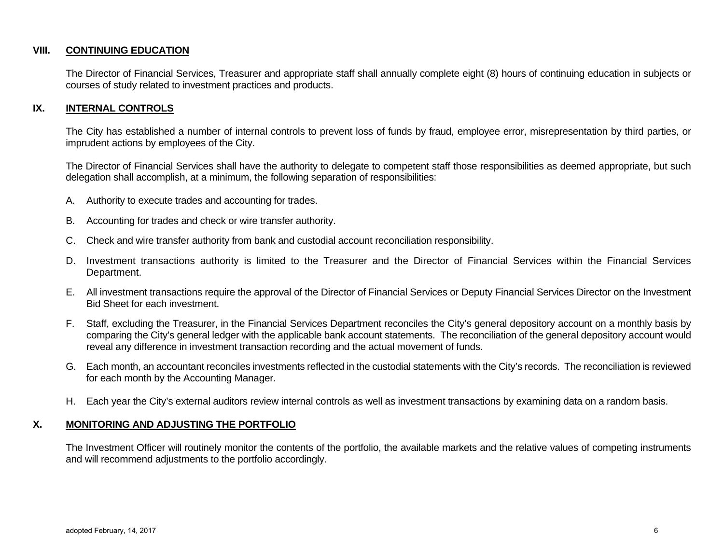#### **VIII. CONTINUING EDUCATION**

The Director of Financial Services, Treasurer and appropriate staff shall annually complete eight (8) hours of continuing education in subjects or courses of study related to investment practices and products.

#### **IX. INTERNAL CONTROLS**

The City has established a number of internal controls to prevent loss of funds by fraud, employee error, misrepresentation by third parties, or imprudent actions by employees of the City.

The Director of Financial Services shall have the authority to delegate to competent staff those responsibilities as deemed appropriate, but such delegation shall accomplish, at a minimum, the following separation of responsibilities:

- A. Authority to execute trades and accounting for trades.
- B. Accounting for trades and check or wire transfer authority.
- C. Check and wire transfer authority from bank and custodial account reconciliation responsibility.
- D. Investment transactions authority is limited to the Treasurer and the Director of Financial Services within the Financial Services Department.
- E. All investment transactions require the approval of the Director of Financial Services or Deputy Financial Services Director on the Investment Bid Sheet for each investment.
- F. Staff, excluding the Treasurer, in the Financial Services Department reconciles the City's general depository account on a monthly basis by comparing the City's general ledger with the applicable bank account statements. The reconciliation of the general depository account would reveal any difference in investment transaction recording and the actual movement of funds.
- G. Each month, an accountant reconciles investments reflected in the custodial statements with the City's records. The reconciliation is reviewed for each month by the Accounting Manager.
- H. Each year the City's external auditors review internal controls as well as investment transactions by examining data on a random basis.

#### **X. MONITORING AND ADJUSTING THE PORTFOLIO**

The Investment Officer will routinely monitor the contents of the portfolio, the available markets and the relative values of competing instruments and will recommend adjustments to the portfolio accordingly.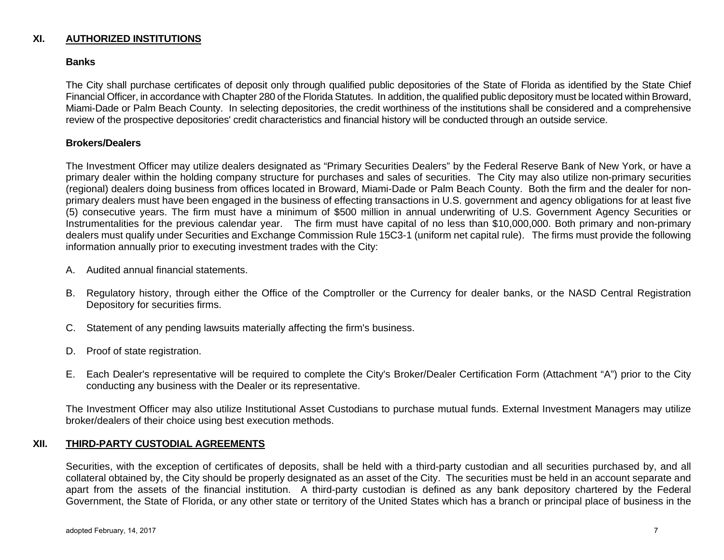## **XI. AUTHORIZED INSTITUTIONS**

#### **Banks**

The City shall purchase certificates of deposit only through qualified public depositories of the State of Florida as identified by the State Chief Financial Officer, in accordance with Chapter 280 of the Florida Statutes. In addition, the qualified public depository must be located within Broward, Miami-Dade or Palm Beach County. In selecting depositories, the credit worthiness of the institutions shall be considered and a comprehensive review of the prospective depositories' credit characteristics and financial history will be conducted through an outside service.

#### **Brokers/Dealers**

The Investment Officer may utilize dealers designated as "Primary Securities Dealers" by the Federal Reserve Bank of New York, or have a primary dealer within the holding company structure for purchases and sales of securities. The City may also utilize non-primary securities (regional) dealers doing business from offices located in Broward, Miami-Dade or Palm Beach County. Both the firm and the dealer for nonprimary dealers must have been engaged in the business of effecting transactions in U.S. government and agency obligations for at least five (5) consecutive years. The firm must have a minimum of \$500 million in annual underwriting of U.S. Government Agency Securities or Instrumentalities for the previous calendar year. The firm must have capital of no less than \$10,000,000. Both primary and non-primary dealers must qualify under Securities and Exchange Commission Rule 15C3-1 (uniform net capital rule). The firms must provide the following information annually prior to executing investment trades with the City:

- A. Audited annual financial statements.
- B. Regulatory history, through either the Office of the Comptroller or the Currency for dealer banks, or the NASD Central Registration Depository for securities firms.
- C. Statement of any pending lawsuits materially affecting the firm's business.
- D. Proof of state registration.
- E. Each Dealer's representative will be required to complete the City's Broker/Dealer Certification Form (Attachment "A") prior to the City conducting any business with the Dealer or its representative.

The Investment Officer may also utilize Institutional Asset Custodians to purchase mutual funds. External Investment Managers may utilize broker/dealers of their choice using best execution methods.

#### **XII. THIRD-PARTY CUSTODIAL AGREEMENTS**

Securities, with the exception of certificates of deposits, shall be held with a third-party custodian and all securities purchased by, and all collateral obtained by, the City should be properly designated as an asset of the City. The securities must be held in an account separate and apart from the assets of the financial institution. A third-party custodian is defined as any bank depository chartered by the Federal Government, the State of Florida, or any other state or territory of the United States which has a branch or principal place of business in the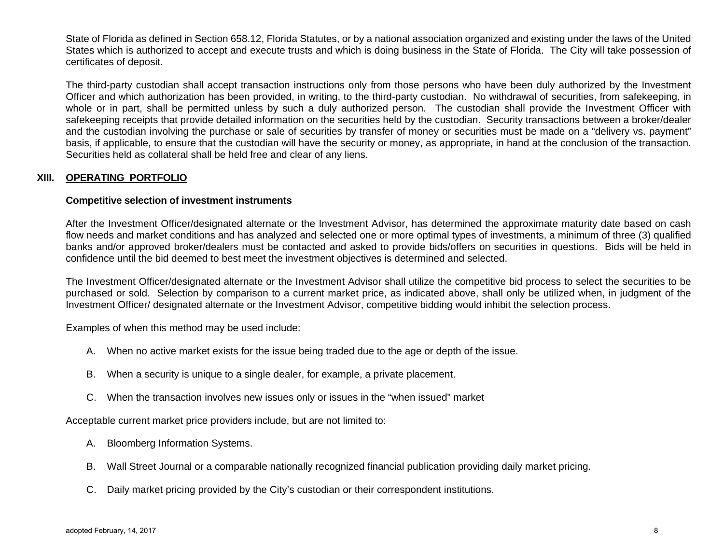State of Florida as defined in Section 658.12, Florida Statutes, or by a national association organized and existing under the laws of the United States which is authorized to accept and execute trusts and which is doing business in the State of Florida. The City will take possession of certificates of deposit.

The third-party custodian shall accept transaction instructions only from those persons who have been duly authorized by the Investment Officer and which authorization has been provided, in writing, to the third-party custodian. No withdrawal of securities, from safekeeping, in whole or in part, shall be permitted unless by such a duly authorized person. The custodian shall provide the Investment Officer with safekeeping receipts that provide detailed information on the securities held by the custodian. Security transactions between a broker/dealer and the custodian involving the purchase or sale of securities by transfer of money or securities must be made on a "delivery vs. payment" basis, if applicable, to ensure that the custodian will have the security or money, as appropriate, in hand at the conclusion of the transaction. Securities held as collateral shall be held free and clear of any liens.

## **XIII. OPERATING PORTFOLIO**

#### **Competitive selection of investment instruments**

After the Investment Officer/designated alternate or the Investment Advisor, has determined the approximate maturity date based on cash flow needs and market conditions and has analyzed and selected one or more optimal types of investments, a minimum of three (3) qualified banks and/or approved broker/dealers must be contacted and asked to provide bids/offers on securities in questions. Bids will be held in confidence until the bid deemed to best meet the investment objectives is determined and selected.

The Investment Officer/designated alternate or the Investment Advisor shall utilize the competitive bid process to select the securities to be purchased or sold. Selection by comparison to a current market price, as indicated above, shall only be utilized when, in judgment of the Investment Officer/ designated alternate or the Investment Advisor, competitive bidding would inhibit the selection process.

Examples of when this method may be used include:

- A. When no active market exists for the issue being traded due to the age or depth of the issue.
- B. When a security is unique to a single dealer, for example, a private placement.
- C. When the transaction involves new issues only or issues in the "when issued" market

Acceptable current market price providers include, but are not limited to:

- A. Bloomberg Information Systems.
- B. Wall Street Journal or a comparable nationally recognized financial publication providing daily market pricing.
- C. Daily market pricing provided by the City's custodian or their correspondent institutions.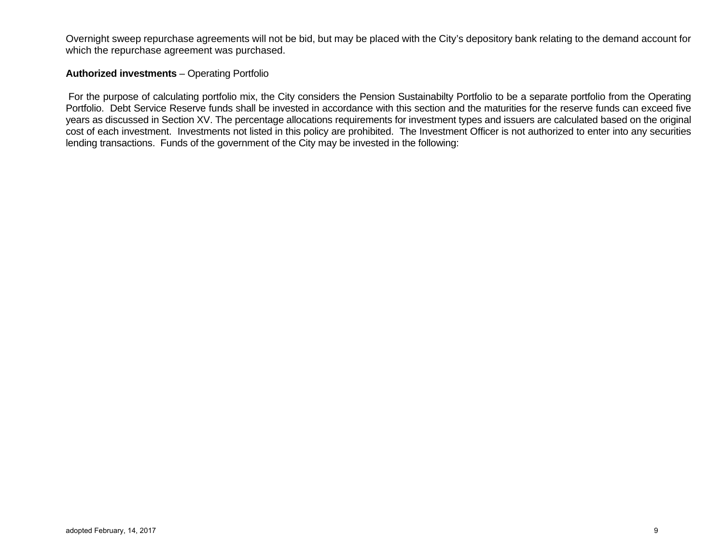Overnight sweep repurchase agreements will not be bid, but may be placed with the City's depository bank relating to the demand account for which the repurchase agreement was purchased.

## **Authorized investments** – Operating Portfolio

 For the purpose of calculating portfolio mix, the City considers the Pension Sustainabilty Portfolio to be a separate portfolio from the Operating Portfolio. Debt Service Reserve funds shall be invested in accordance with this section and the maturities for the reserve funds can exceed five years as discussed in Section XV. The percentage allocations requirements for investment types and issuers are calculated based on the original cost of each investment. Investments not listed in this policy are prohibited. The Investment Officer is not authorized to enter into any securities lending transactions. Funds of the government of the City may be invested in the following: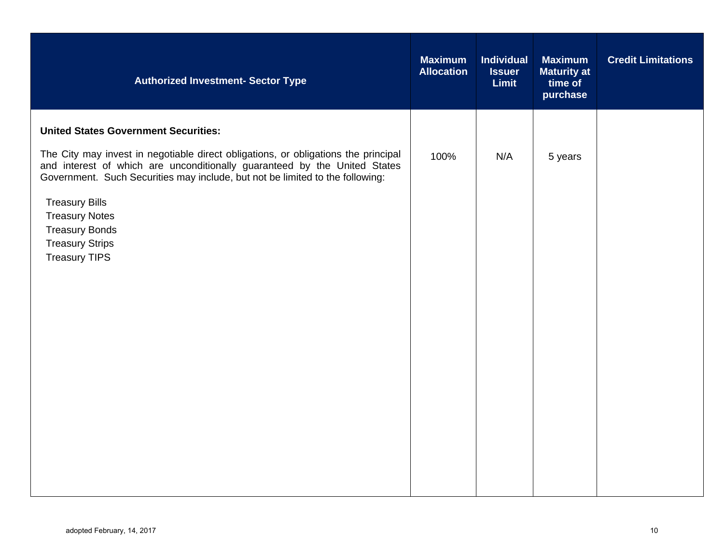| <b>Authorized Investment- Sector Type</b>                                                                                                                                                                                                                                                                                                                                                                                    | <b>Maximum</b><br><b>Allocation</b> | <b>Individual</b><br><b>Issuer</b><br><b>Limit</b> | <b>Maximum</b><br><b>Maturity at</b><br>time of<br>purchase | <b>Credit Limitations</b> |
|------------------------------------------------------------------------------------------------------------------------------------------------------------------------------------------------------------------------------------------------------------------------------------------------------------------------------------------------------------------------------------------------------------------------------|-------------------------------------|----------------------------------------------------|-------------------------------------------------------------|---------------------------|
| <b>United States Government Securities:</b><br>The City may invest in negotiable direct obligations, or obligations the principal<br>and interest of which are unconditionally guaranteed by the United States<br>Government. Such Securities may include, but not be limited to the following:<br><b>Treasury Bills</b><br><b>Treasury Notes</b><br><b>Treasury Bonds</b><br><b>Treasury Strips</b><br><b>Treasury TIPS</b> | 100%                                | N/A                                                | 5 years                                                     |                           |
|                                                                                                                                                                                                                                                                                                                                                                                                                              |                                     |                                                    |                                                             |                           |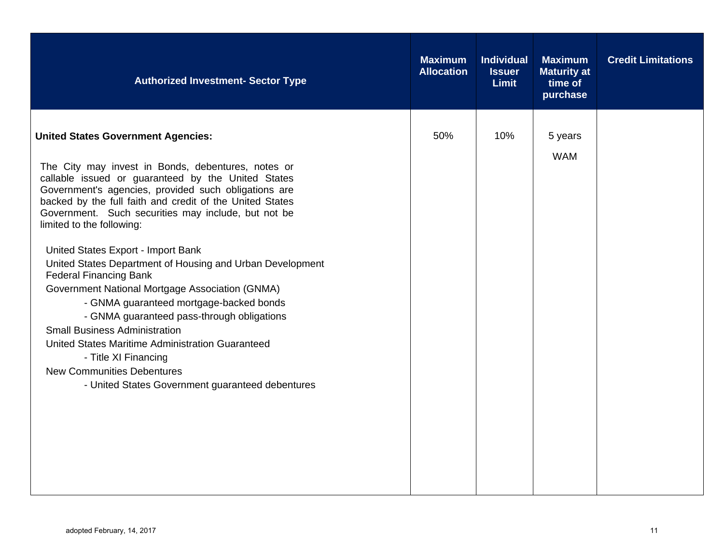| <b>Authorized Investment- Sector Type</b>                                                                                                                                                                                                                                                                                                                                                                                                                                                                                                                                                                                                                                                                                                                                                                                                                  | <b>Maximum</b><br><b>Allocation</b> | <b>Individual</b><br><b>Issuer</b><br><b>Limit</b> | <b>Maximum</b><br><b>Maturity at</b><br>time of<br>purchase | <b>Credit Limitations</b> |
|------------------------------------------------------------------------------------------------------------------------------------------------------------------------------------------------------------------------------------------------------------------------------------------------------------------------------------------------------------------------------------------------------------------------------------------------------------------------------------------------------------------------------------------------------------------------------------------------------------------------------------------------------------------------------------------------------------------------------------------------------------------------------------------------------------------------------------------------------------|-------------------------------------|----------------------------------------------------|-------------------------------------------------------------|---------------------------|
| <b>United States Government Agencies:</b><br>The City may invest in Bonds, debentures, notes or<br>callable issued or guaranteed by the United States<br>Government's agencies, provided such obligations are<br>backed by the full faith and credit of the United States<br>Government. Such securities may include, but not be<br>limited to the following:<br>United States Export - Import Bank<br>United States Department of Housing and Urban Development<br><b>Federal Financing Bank</b><br>Government National Mortgage Association (GNMA)<br>- GNMA guaranteed mortgage-backed bonds<br>- GNMA guaranteed pass-through obligations<br><b>Small Business Administration</b><br>United States Maritime Administration Guaranteed<br>- Title XI Financing<br><b>New Communities Debentures</b><br>- United States Government guaranteed debentures | 50%                                 | 10%                                                | 5 years<br><b>WAM</b>                                       |                           |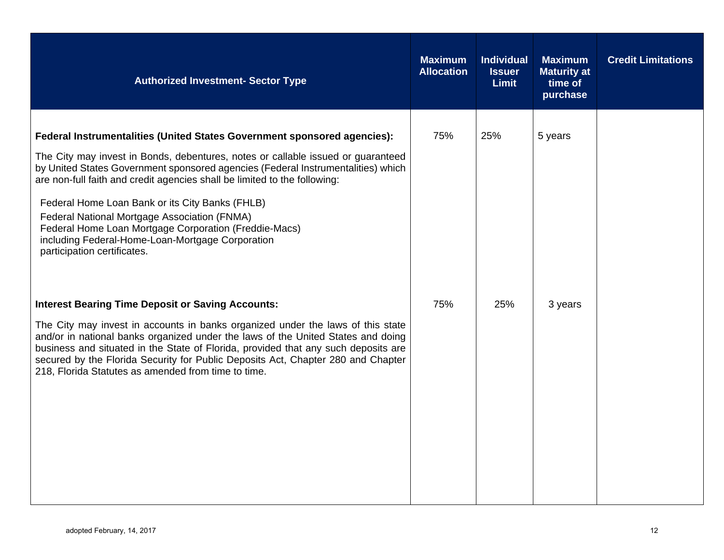| <b>Authorized Investment- Sector Type</b>                                                                                                                                                                                                                                                                                                                                                                                                                                                                                                                                           | <b>Maximum</b><br><b>Allocation</b> | <b>Individual</b><br><b>Issuer</b><br><b>Limit</b> | <b>Maximum</b><br><b>Maturity at</b><br>time of<br>purchase | <b>Credit Limitations</b> |
|-------------------------------------------------------------------------------------------------------------------------------------------------------------------------------------------------------------------------------------------------------------------------------------------------------------------------------------------------------------------------------------------------------------------------------------------------------------------------------------------------------------------------------------------------------------------------------------|-------------------------------------|----------------------------------------------------|-------------------------------------------------------------|---------------------------|
| <b>Federal Instrumentalities (United States Government sponsored agencies):</b><br>The City may invest in Bonds, debentures, notes or callable issued or guaranteed<br>by United States Government sponsored agencies (Federal Instrumentalities) which<br>are non-full faith and credit agencies shall be limited to the following:<br>Federal Home Loan Bank or its City Banks (FHLB)<br>Federal National Mortgage Association (FNMA)<br>Federal Home Loan Mortgage Corporation (Freddie-Macs)<br>including Federal-Home-Loan-Mortgage Corporation<br>participation certificates. | 75%                                 | 25%                                                | 5 years                                                     |                           |
| <b>Interest Bearing Time Deposit or Saving Accounts:</b><br>The City may invest in accounts in banks organized under the laws of this state<br>and/or in national banks organized under the laws of the United States and doing<br>business and situated in the State of Florida, provided that any such deposits are<br>secured by the Florida Security for Public Deposits Act, Chapter 280 and Chapter<br>218, Florida Statutes as amended from time to time.                                                                                                                    | 75%                                 | 25%                                                | 3 years                                                     |                           |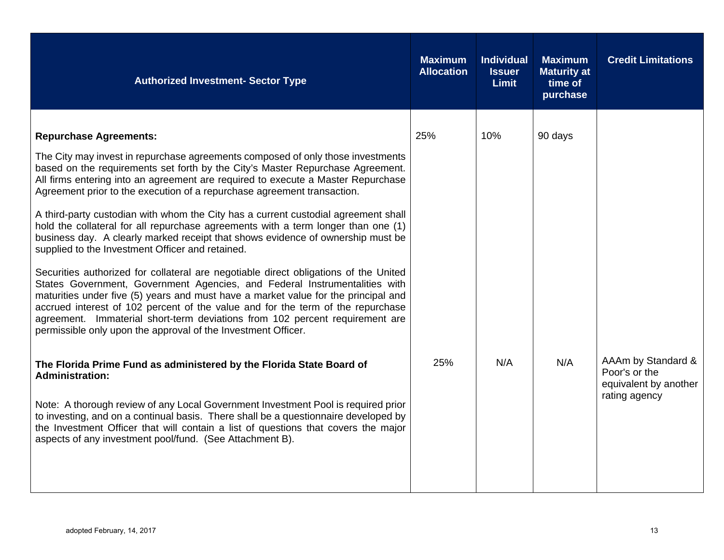| <b>Authorized Investment- Sector Type</b>                                                                                                                                                                                                                                                                                                                                                                                                                                                                                                                                                                                                                                                                                                                                                                                                                                                                                                                                                                                                                                                                                                                                           | <b>Maximum</b><br><b>Allocation</b> | <b>Individual</b><br><b>Issuer</b><br><b>Limit</b> | <b>Maximum</b><br><b>Maturity at</b><br>time of<br>purchase | <b>Credit Limitations</b>                                                     |
|-------------------------------------------------------------------------------------------------------------------------------------------------------------------------------------------------------------------------------------------------------------------------------------------------------------------------------------------------------------------------------------------------------------------------------------------------------------------------------------------------------------------------------------------------------------------------------------------------------------------------------------------------------------------------------------------------------------------------------------------------------------------------------------------------------------------------------------------------------------------------------------------------------------------------------------------------------------------------------------------------------------------------------------------------------------------------------------------------------------------------------------------------------------------------------------|-------------------------------------|----------------------------------------------------|-------------------------------------------------------------|-------------------------------------------------------------------------------|
| <b>Repurchase Agreements:</b><br>The City may invest in repurchase agreements composed of only those investments<br>based on the requirements set forth by the City's Master Repurchase Agreement.<br>All firms entering into an agreement are required to execute a Master Repurchase<br>Agreement prior to the execution of a repurchase agreement transaction.<br>A third-party custodian with whom the City has a current custodial agreement shall<br>hold the collateral for all repurchase agreements with a term longer than one (1)<br>business day. A clearly marked receipt that shows evidence of ownership must be<br>supplied to the Investment Officer and retained.<br>Securities authorized for collateral are negotiable direct obligations of the United<br>States Government, Government Agencies, and Federal Instrumentalities with<br>maturities under five (5) years and must have a market value for the principal and<br>accrued interest of 102 percent of the value and for the term of the repurchase<br>agreement. Immaterial short-term deviations from 102 percent requirement are<br>permissible only upon the approval of the Investment Officer. | 25%                                 | 10%                                                | 90 days                                                     |                                                                               |
| The Florida Prime Fund as administered by the Florida State Board of<br><b>Administration:</b><br>Note: A thorough review of any Local Government Investment Pool is required prior<br>to investing, and on a continual basis. There shall be a questionnaire developed by<br>the Investment Officer that will contain a list of questions that covers the major<br>aspects of any investment pool/fund. (See Attachment B).                                                                                                                                                                                                                                                                                                                                                                                                                                                                                                                                                                                                                                                                                                                                                        | 25%                                 | N/A                                                | N/A                                                         | AAAm by Standard &<br>Poor's or the<br>equivalent by another<br>rating agency |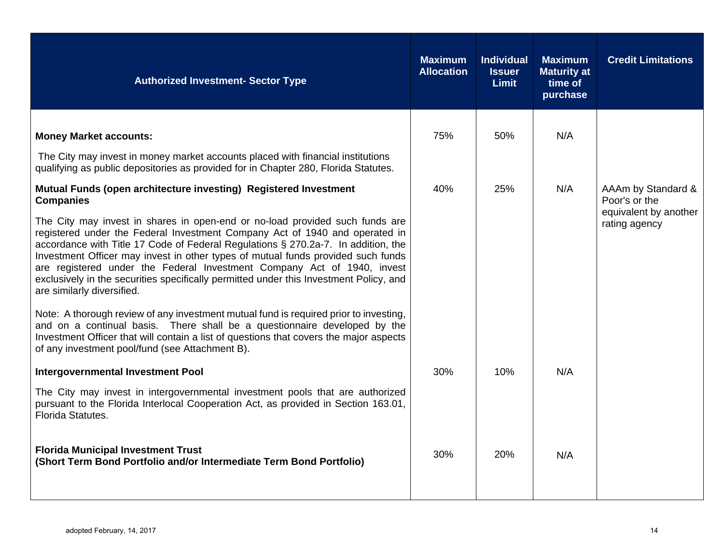| <b>Authorized Investment- Sector Type</b>                                                                                                                                                                                                                                                                                                                                                                                                                                                                                               |     | <b>Individual</b><br><b>Issuer</b><br><b>Limit</b> | <b>Maximum</b><br><b>Maturity at</b><br>time of<br>purchase | <b>Credit Limitations</b>              |
|-----------------------------------------------------------------------------------------------------------------------------------------------------------------------------------------------------------------------------------------------------------------------------------------------------------------------------------------------------------------------------------------------------------------------------------------------------------------------------------------------------------------------------------------|-----|----------------------------------------------------|-------------------------------------------------------------|----------------------------------------|
| <b>Money Market accounts:</b>                                                                                                                                                                                                                                                                                                                                                                                                                                                                                                           | 75% | 50%                                                | N/A                                                         |                                        |
| The City may invest in money market accounts placed with financial institutions<br>qualifying as public depositories as provided for in Chapter 280, Florida Statutes.                                                                                                                                                                                                                                                                                                                                                                  |     |                                                    |                                                             |                                        |
| Mutual Funds (open architecture investing) Registered Investment<br><b>Companies</b>                                                                                                                                                                                                                                                                                                                                                                                                                                                    | 40% | 25%                                                | N/A                                                         | AAAm by Standard &<br>Poor's or the    |
| The City may invest in shares in open-end or no-load provided such funds are<br>registered under the Federal Investment Company Act of 1940 and operated in<br>accordance with Title 17 Code of Federal Regulations § 270.2a-7. In addition, the<br>Investment Officer may invest in other types of mutual funds provided such funds<br>are registered under the Federal Investment Company Act of 1940, invest<br>exclusively in the securities specifically permitted under this Investment Policy, and<br>are similarly diversified. |     |                                                    |                                                             | equivalent by another<br>rating agency |
| Note: A thorough review of any investment mutual fund is required prior to investing,<br>and on a continual basis. There shall be a questionnaire developed by the<br>Investment Officer that will contain a list of questions that covers the major aspects<br>of any investment pool/fund (see Attachment B).                                                                                                                                                                                                                         |     |                                                    |                                                             |                                        |
| Intergovernmental Investment Pool                                                                                                                                                                                                                                                                                                                                                                                                                                                                                                       | 30% | 10%                                                | N/A                                                         |                                        |
| The City may invest in intergovernmental investment pools that are authorized<br>pursuant to the Florida Interlocal Cooperation Act, as provided in Section 163.01,<br>Florida Statutes.                                                                                                                                                                                                                                                                                                                                                |     |                                                    |                                                             |                                        |
| <b>Florida Municipal Investment Trust</b><br>(Short Term Bond Portfolio and/or Intermediate Term Bond Portfolio)                                                                                                                                                                                                                                                                                                                                                                                                                        | 30% | 20%                                                | N/A                                                         |                                        |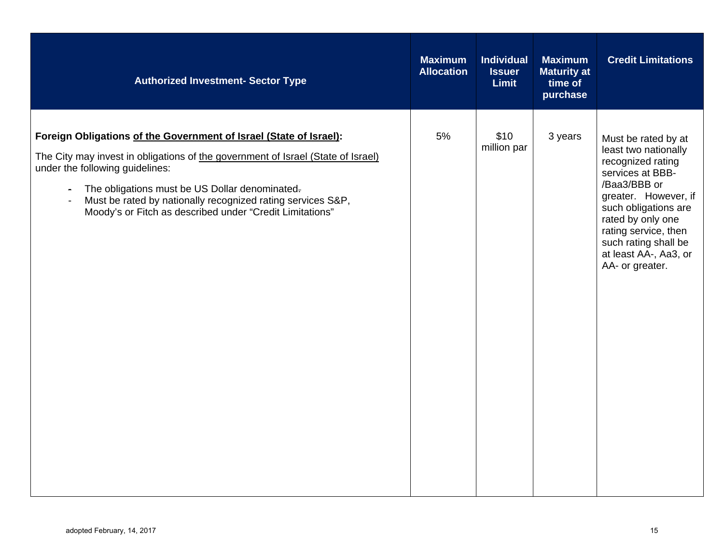| <b>Authorized Investment- Sector Type</b>                                                                                                                                                                                                                                                                                                                                                                            | <b>Maximum</b><br><b>Allocation</b> | <b>Individual</b><br><b>Issuer</b><br><b>Limit</b> | <b>Maximum</b><br><b>Maturity at</b><br>time of<br>purchase | <b>Credit Limitations</b>                                                                                                                                                                                                                                             |
|----------------------------------------------------------------------------------------------------------------------------------------------------------------------------------------------------------------------------------------------------------------------------------------------------------------------------------------------------------------------------------------------------------------------|-------------------------------------|----------------------------------------------------|-------------------------------------------------------------|-----------------------------------------------------------------------------------------------------------------------------------------------------------------------------------------------------------------------------------------------------------------------|
| Foreign Obligations of the Government of Israel (State of Israel):<br>The City may invest in obligations of the government of Israel (State of Israel)<br>under the following guidelines:<br>The obligations must be US Dollar denominated-<br>$\blacksquare$<br>Must be rated by nationally recognized rating services S&P,<br>$\overline{\phantom{a}}$<br>Moody's or Fitch as described under "Credit Limitations" | 5%                                  | \$10<br>million par                                | 3 years                                                     | Must be rated by at<br>least two nationally<br>recognized rating<br>services at BBB-<br>/Baa3/BBB or<br>greater. However, if<br>such obligations are<br>rated by only one<br>rating service, then<br>such rating shall be<br>at least AA-, Aa3, or<br>AA- or greater. |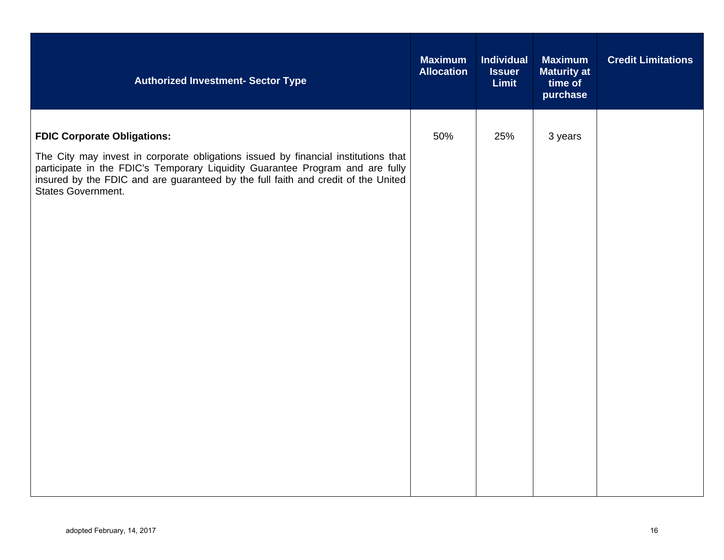| <b>Authorized Investment- Sector Type</b>                                                                                                                                                                                                                                                                            | <b>Maximum</b><br><b>Allocation</b> | <b>Individual</b><br><b>Issuer</b><br><b>Limit</b> | <b>Maximum</b><br><b>Maturity at</b><br>time of<br>purchase | <b>Credit Limitations</b> |
|----------------------------------------------------------------------------------------------------------------------------------------------------------------------------------------------------------------------------------------------------------------------------------------------------------------------|-------------------------------------|----------------------------------------------------|-------------------------------------------------------------|---------------------------|
| <b>FDIC Corporate Obligations:</b><br>The City may invest in corporate obligations issued by financial institutions that<br>participate in the FDIC's Temporary Liquidity Guarantee Program and are fully<br>insured by the FDIC and are guaranteed by the full faith and credit of the United<br>States Government. | 50%                                 | 25%                                                | 3 years                                                     |                           |
|                                                                                                                                                                                                                                                                                                                      |                                     |                                                    |                                                             |                           |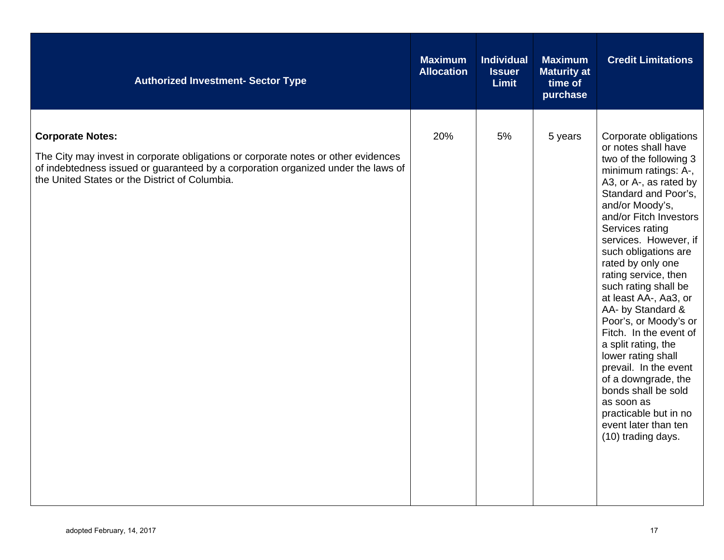| <b>Authorized Investment- Sector Type</b>                                                                                                                                                                                                            | <b>Maximum</b><br><b>Allocation</b> | <b>Individual</b><br><b>Issuer</b><br><b>Limit</b> | <b>Maximum</b><br><b>Maturity at</b><br>time of<br>purchase | <b>Credit Limitations</b>                                                                                                                                                                                                                                                                                                                                                                                                                                                                                                                                                                                                                        |
|------------------------------------------------------------------------------------------------------------------------------------------------------------------------------------------------------------------------------------------------------|-------------------------------------|----------------------------------------------------|-------------------------------------------------------------|--------------------------------------------------------------------------------------------------------------------------------------------------------------------------------------------------------------------------------------------------------------------------------------------------------------------------------------------------------------------------------------------------------------------------------------------------------------------------------------------------------------------------------------------------------------------------------------------------------------------------------------------------|
| <b>Corporate Notes:</b><br>The City may invest in corporate obligations or corporate notes or other evidences<br>of indebtedness issued or guaranteed by a corporation organized under the laws of<br>the United States or the District of Columbia. | 20%                                 | 5%                                                 | 5 years                                                     | Corporate obligations<br>or notes shall have<br>two of the following 3<br>minimum ratings: A-,<br>A3, or A-, as rated by<br>Standard and Poor's,<br>and/or Moody's,<br>and/or Fitch Investors<br>Services rating<br>services. However, if<br>such obligations are<br>rated by only one<br>rating service, then<br>such rating shall be<br>at least AA-, Aa3, or<br>AA- by Standard &<br>Poor's, or Moody's or<br>Fitch. In the event of<br>a split rating, the<br>lower rating shall<br>prevail. In the event<br>of a downgrade, the<br>bonds shall be sold<br>as soon as<br>practicable but in no<br>event later than ten<br>(10) trading days. |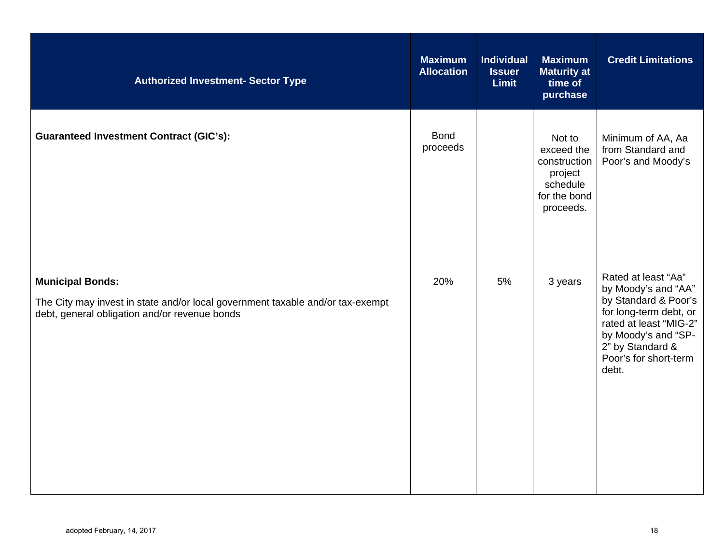| <b>Authorized Investment- Sector Type</b>                                                                                                                  | <b>Maximum</b><br><b>Allocation</b> | <b>Individual</b><br><b>Issuer</b><br><b>Limit</b> | <b>Maximum</b><br><b>Maturity at</b><br>time of<br>purchase                              | <b>Credit Limitations</b>                                                                                                                                                                           |
|------------------------------------------------------------------------------------------------------------------------------------------------------------|-------------------------------------|----------------------------------------------------|------------------------------------------------------------------------------------------|-----------------------------------------------------------------------------------------------------------------------------------------------------------------------------------------------------|
| <b>Guaranteed Investment Contract (GIC's):</b>                                                                                                             | <b>Bond</b><br>proceeds             |                                                    | Not to<br>exceed the<br>construction<br>project<br>schedule<br>for the bond<br>proceeds. | Minimum of AA, Aa<br>from Standard and<br>Poor's and Moody's                                                                                                                                        |
| <b>Municipal Bonds:</b><br>The City may invest in state and/or local government taxable and/or tax-exempt<br>debt, general obligation and/or revenue bonds | 20%                                 | 5%                                                 | 3 years                                                                                  | Rated at least "Aa"<br>by Moody's and "AA"<br>by Standard & Poor's<br>for long-term debt, or<br>rated at least "MIG-2"<br>by Moody's and "SP-<br>2" by Standard &<br>Poor's for short-term<br>debt. |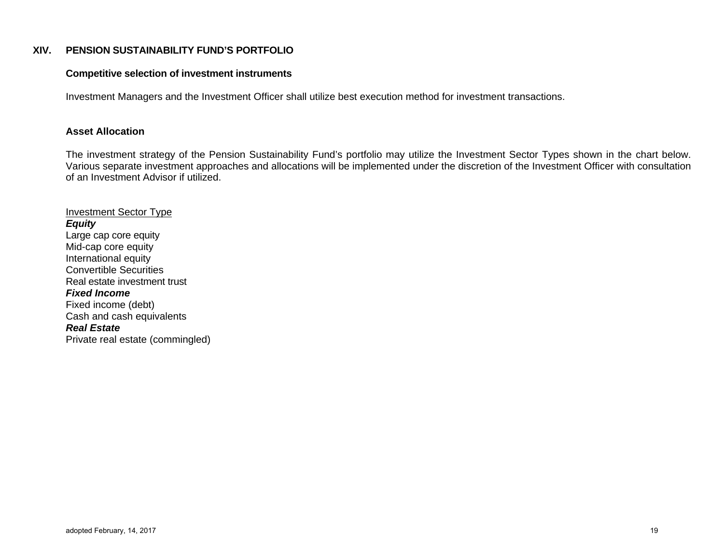#### **XIV. PENSION SUSTAINABILITY FUND'S PORTFOLIO**

#### **Competitive selection of investment instruments**

Investment Managers and the Investment Officer shall utilize best execution method for investment transactions.

## **Asset Allocation**

 The investment strategy of the Pension Sustainability Fund's portfolio may utilize the Investment Sector Types shown in the chart below. Various separate investment approaches and allocations will be implemented under the discretion of the Investment Officer with consultation of an Investment Advisor if utilized.

Investment Sector Type *Equity*  Large cap core equity Mid-cap core equity International equity Convertible Securities Real estate investment trust *Fixed Income* Fixed income (debt) Cash and cash equivalents *Real Estate* Private real estate (commingled)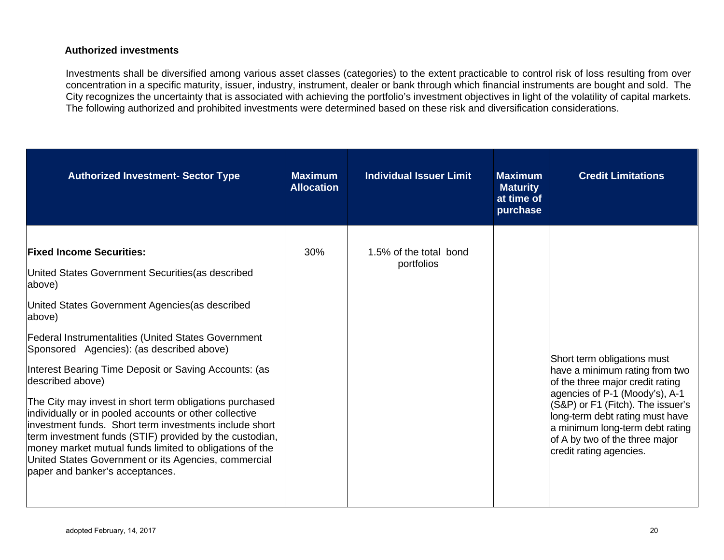## **Authorized investments**

Investments shall be diversified among various asset classes (categories) to the extent practicable to control risk of loss resulting from over concentration in a specific maturity, issuer, industry, instrument, dealer or bank through which financial instruments are bought and sold. The City recognizes the uncertainty that is associated with achieving the portfolio's investment objectives in light of the volatility of capital markets. The following authorized and prohibited investments were determined based on these risk and diversification considerations.

| <b>Authorized Investment- Sector Type</b>                                                                                                                                                                                                                                                                                                                                                                                                                                                                                                                                                                                                                                                                                                            | <b>Maximum</b><br><b>Allocation</b> | <b>Individual Issuer Limit</b>       | <b>Maximum</b><br><b>Maturity</b><br>at time of<br>purchase | <b>Credit Limitations</b>                                                                                                                                                                                                                                                                                   |
|------------------------------------------------------------------------------------------------------------------------------------------------------------------------------------------------------------------------------------------------------------------------------------------------------------------------------------------------------------------------------------------------------------------------------------------------------------------------------------------------------------------------------------------------------------------------------------------------------------------------------------------------------------------------------------------------------------------------------------------------------|-------------------------------------|--------------------------------------|-------------------------------------------------------------|-------------------------------------------------------------------------------------------------------------------------------------------------------------------------------------------------------------------------------------------------------------------------------------------------------------|
| <b>Fixed Income Securities:</b><br>United States Government Securities (as described<br>above)<br>United States Government Agencies (as described<br>above)<br><b>Federal Instrumentalities (United States Government</b><br>Sponsored Agencies): (as described above)<br>Interest Bearing Time Deposit or Saving Accounts: (as<br>described above)<br>The City may invest in short term obligations purchased<br>individually or in pooled accounts or other collective<br>linvestment funds. Short term investments include short<br>term investment funds (STIF) provided by the custodian,<br>money market mutual funds limited to obligations of the<br>United States Government or its Agencies, commercial<br>paper and banker's acceptances. | 30%                                 | 1.5% of the total bond<br>portfolios |                                                             | Short term obligations must<br>have a minimum rating from two<br>of the three major credit rating<br>agencies of P-1 (Moody's), A-1<br>(S&P) or F1 (Fitch). The issuer's<br>long-term debt rating must have<br>a minimum long-term debt rating<br>of A by two of the three major<br>credit rating agencies. |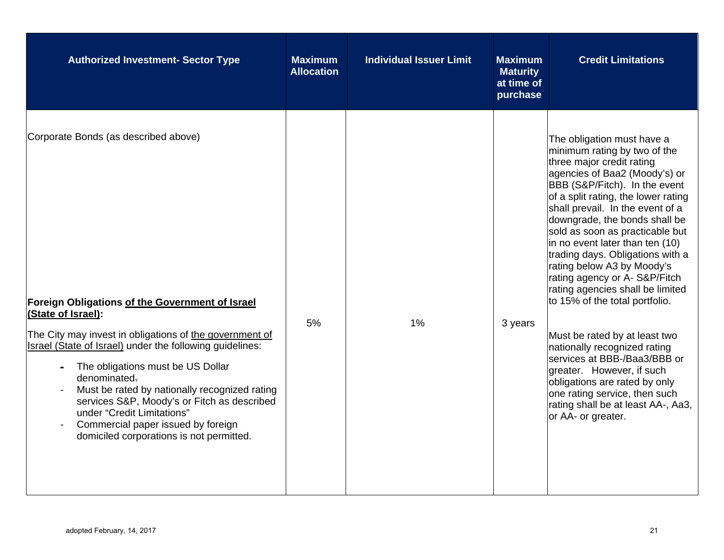| <b>Authorized Investment- Sector Type</b>                                                                                                                                                                                                                                                                                                                                                                                                                                                                                             | <b>Maximum</b><br><b>Allocation</b> | <b>Individual Issuer Limit</b> | <b>Maximum</b><br><b>Maturity</b><br>at time of<br>purchase | <b>Credit Limitations</b>                                                                                                                                                                                                                                                                                                                                                                                                                                                                                                                                                                                                                                                                                                                                                       |
|---------------------------------------------------------------------------------------------------------------------------------------------------------------------------------------------------------------------------------------------------------------------------------------------------------------------------------------------------------------------------------------------------------------------------------------------------------------------------------------------------------------------------------------|-------------------------------------|--------------------------------|-------------------------------------------------------------|---------------------------------------------------------------------------------------------------------------------------------------------------------------------------------------------------------------------------------------------------------------------------------------------------------------------------------------------------------------------------------------------------------------------------------------------------------------------------------------------------------------------------------------------------------------------------------------------------------------------------------------------------------------------------------------------------------------------------------------------------------------------------------|
| Corporate Bonds (as described above)<br>Foreign Obligations of the Government of Israel<br>(State of Israel):<br>The City may invest in obligations of the government of<br>Israel (State of Israel) under the following guidelines:<br>The obligations must be US Dollar<br>denominated.<br>Must be rated by nationally recognized rating<br>services S&P, Moody's or Fitch as described<br>under "Credit Limitations"<br>Commercial paper issued by foreign<br>$\overline{\phantom{a}}$<br>domiciled corporations is not permitted. | 5%                                  | 1%                             | 3 years                                                     | The obligation must have a<br>minimum rating by two of the<br>three major credit rating<br>agencies of Baa2 (Moody's) or<br>BBB (S&P/Fitch). In the event<br>of a split rating, the lower rating<br>shall prevail. In the event of a<br>downgrade, the bonds shall be<br>sold as soon as practicable but<br>in no event later than ten (10)<br>trading days. Obligations with a<br>rating below A3 by Moody's<br>rating agency or A-S&P/Fitch<br>rating agencies shall be limited<br>to 15% of the total portfolio.<br>Must be rated by at least two<br>nationally recognized rating<br>services at BBB-/Baa3/BBB or<br>greater. However, if such<br>obligations are rated by only<br>one rating service, then such<br>rating shall be at least AA-, Aa3,<br>or AA- or greater. |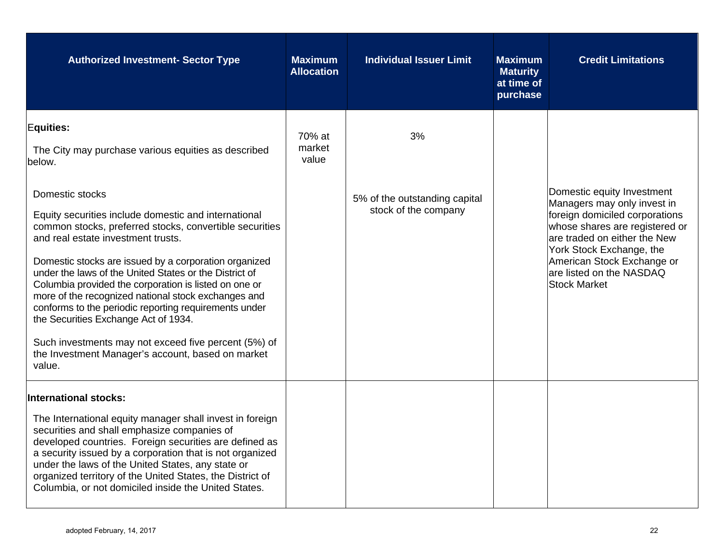| <b>Authorized Investment- Sector Type</b>                                                                                                                                                                                                                                                                                                                                                                                                                                                                                                                                                                                                                                                                                | <b>Maximum</b><br><b>Allocation</b> | <b>Individual Issuer Limit</b>                              | <b>Maximum</b><br><b>Maturity</b><br>at time of<br>purchase | <b>Credit Limitations</b>                                                                                                                                                                                                                                                  |
|--------------------------------------------------------------------------------------------------------------------------------------------------------------------------------------------------------------------------------------------------------------------------------------------------------------------------------------------------------------------------------------------------------------------------------------------------------------------------------------------------------------------------------------------------------------------------------------------------------------------------------------------------------------------------------------------------------------------------|-------------------------------------|-------------------------------------------------------------|-------------------------------------------------------------|----------------------------------------------------------------------------------------------------------------------------------------------------------------------------------------------------------------------------------------------------------------------------|
| <b>Equities:</b><br>The City may purchase various equities as described<br>below.<br>Domestic stocks<br>Equity securities include domestic and international<br>common stocks, preferred stocks, convertible securities<br>and real estate investment trusts.<br>Domestic stocks are issued by a corporation organized<br>under the laws of the United States or the District of<br>Columbia provided the corporation is listed on one or<br>more of the recognized national stock exchanges and<br>conforms to the periodic reporting requirements under<br>the Securities Exchange Act of 1934.<br>Such investments may not exceed five percent (5%) of<br>the Investment Manager's account, based on market<br>value. | 70% at<br>market<br>value           | 3%<br>5% of the outstanding capital<br>stock of the company |                                                             | Domestic equity Investment<br>Managers may only invest in<br>foreign domiciled corporations<br>whose shares are registered or<br>are traded on either the New<br>York Stock Exchange, the<br>American Stock Exchange or<br>are listed on the NASDAQ<br><b>Stock Market</b> |
| <b>International stocks:</b><br>The International equity manager shall invest in foreign<br>securities and shall emphasize companies of<br>developed countries. Foreign securities are defined as<br>a security issued by a corporation that is not organized<br>under the laws of the United States, any state or<br>organized territory of the United States, the District of<br>Columbia, or not domiciled inside the United States.                                                                                                                                                                                                                                                                                  |                                     |                                                             |                                                             |                                                                                                                                                                                                                                                                            |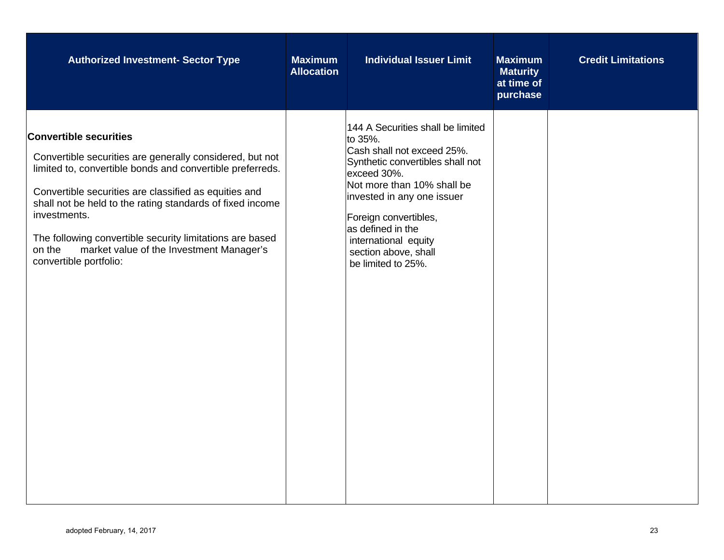| <b>Authorized Investment- Sector Type</b>                                                                                                                                                                                                                                                                                                                                                                                                | <b>Maximum</b><br><b>Allocation</b> | <b>Individual Issuer Limit</b>                                                                                                                                                                                                                                                                                | <b>Maximum</b><br><b>Maturity</b><br>at time of<br>purchase | <b>Credit Limitations</b> |
|------------------------------------------------------------------------------------------------------------------------------------------------------------------------------------------------------------------------------------------------------------------------------------------------------------------------------------------------------------------------------------------------------------------------------------------|-------------------------------------|---------------------------------------------------------------------------------------------------------------------------------------------------------------------------------------------------------------------------------------------------------------------------------------------------------------|-------------------------------------------------------------|---------------------------|
| <b>Convertible securities</b><br>Convertible securities are generally considered, but not<br>limited to, convertible bonds and convertible preferreds.<br>Convertible securities are classified as equities and<br>shall not be held to the rating standards of fixed income<br>investments.<br>The following convertible security limitations are based<br>market value of the Investment Manager's<br>on the<br>convertible portfolio: |                                     | 144 A Securities shall be limited<br>to 35%.<br>Cash shall not exceed 25%.<br>Synthetic convertibles shall not<br>exceed 30%.<br>Not more than 10% shall be<br>invested in any one issuer<br>Foreign convertibles,<br>as defined in the<br>international equity<br>section above, shall<br>be limited to 25%. |                                                             |                           |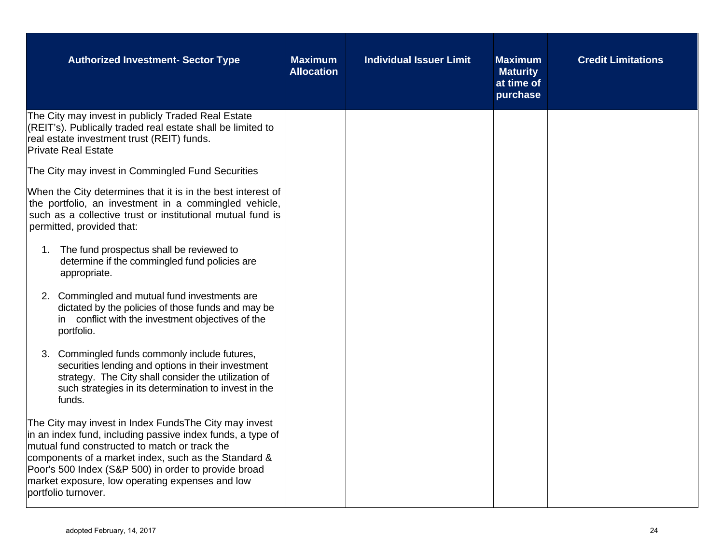| <b>Authorized Investment- Sector Type</b>                                                                                                                                                                                                                                                                                                                       | <b>Maximum</b><br><b>Allocation</b> | <b>Individual Issuer Limit</b> | <b>Maximum</b><br><b>Maturity</b><br>at time of<br>purchase | <b>Credit Limitations</b> |
|-----------------------------------------------------------------------------------------------------------------------------------------------------------------------------------------------------------------------------------------------------------------------------------------------------------------------------------------------------------------|-------------------------------------|--------------------------------|-------------------------------------------------------------|---------------------------|
| The City may invest in publicly Traded Real Estate<br>(REIT's). Publically traded real estate shall be limited to<br>real estate investment trust (REIT) funds.<br><b>Private Real Estate</b>                                                                                                                                                                   |                                     |                                |                                                             |                           |
| The City may invest in Commingled Fund Securities                                                                                                                                                                                                                                                                                                               |                                     |                                |                                                             |                           |
| When the City determines that it is in the best interest of<br>the portfolio, an investment in a commingled vehicle,<br>such as a collective trust or institutional mutual fund is<br>permitted, provided that:                                                                                                                                                 |                                     |                                |                                                             |                           |
| 1. The fund prospectus shall be reviewed to<br>determine if the commingled fund policies are<br>appropriate.                                                                                                                                                                                                                                                    |                                     |                                |                                                             |                           |
| 2. Commingled and mutual fund investments are<br>dictated by the policies of those funds and may be<br>in conflict with the investment objectives of the<br>portfolio.                                                                                                                                                                                          |                                     |                                |                                                             |                           |
| Commingled funds commonly include futures,<br>3.<br>securities lending and options in their investment<br>strategy. The City shall consider the utilization of<br>such strategies in its determination to invest in the<br>funds.                                                                                                                               |                                     |                                |                                                             |                           |
| The City may invest in Index Funds The City may invest<br>in an index fund, including passive index funds, a type of<br>mutual fund constructed to match or track the<br>components of a market index, such as the Standard &<br>Poor's 500 Index (S&P 500) in order to provide broad<br>market exposure, low operating expenses and low<br>portfolio turnover. |                                     |                                |                                                             |                           |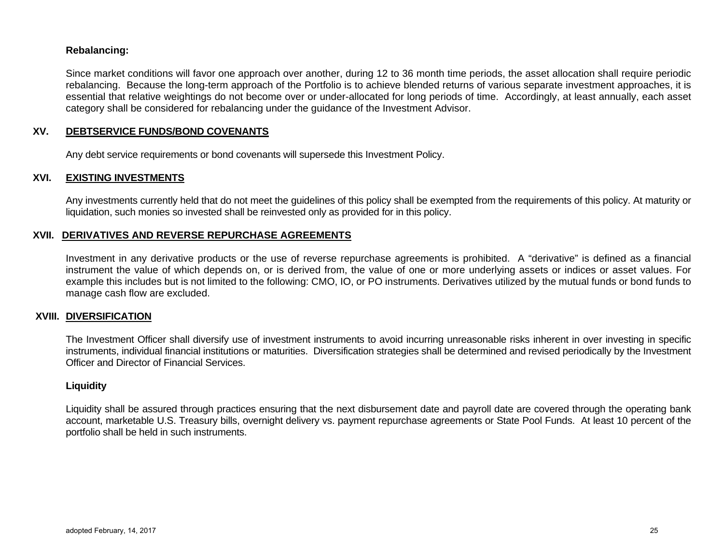## **Rebalancing:**

Since market conditions will favor one approach over another, during 12 to 36 month time periods, the asset allocation shall require periodic rebalancing. Because the long-term approach of the Portfolio is to achieve blended returns of various separate investment approaches, it is essential that relative weightings do not become over or under-allocated for long periods of time. Accordingly, at least annually, each asset category shall be considered for rebalancing under the guidance of the Investment Advisor.

## **XV. DEBTSERVICE FUNDS/BOND COVENANTS**

Any debt service requirements or bond covenants will supersede this Investment Policy.

## **XVI. EXISTING INVESTMENTS**

Any investments currently held that do not meet the guidelines of this policy shall be exempted from the requirements of this policy. At maturity or liquidation, such monies so invested shall be reinvested only as provided for in this policy.

#### **XVII. DERIVATIVES AND REVERSE REPURCHASE AGREEMENTS**

Investment in any derivative products or the use of reverse repurchase agreements is prohibited. A "derivative" is defined as a financial instrument the value of which depends on, or is derived from, the value of one or more underlying assets or indices or asset values. For example this includes but is not limited to the following: CMO, IO, or PO instruments. Derivatives utilized by the mutual funds or bond funds to manage cash flow are excluded.

#### **XVIII. DIVERSIFICATION**

The Investment Officer shall diversify use of investment instruments to avoid incurring unreasonable risks inherent in over investing in specific instruments, individual financial institutions or maturities. Diversification strategies shall be determined and revised periodically by the Investment Officer and Director of Financial Services.

#### **Liquidity**

Liquidity shall be assured through practices ensuring that the next disbursement date and payroll date are covered through the operating bank account, marketable U.S. Treasury bills, overnight delivery vs. payment repurchase agreements or State Pool Funds. At least 10 percent of the portfolio shall be held in such instruments.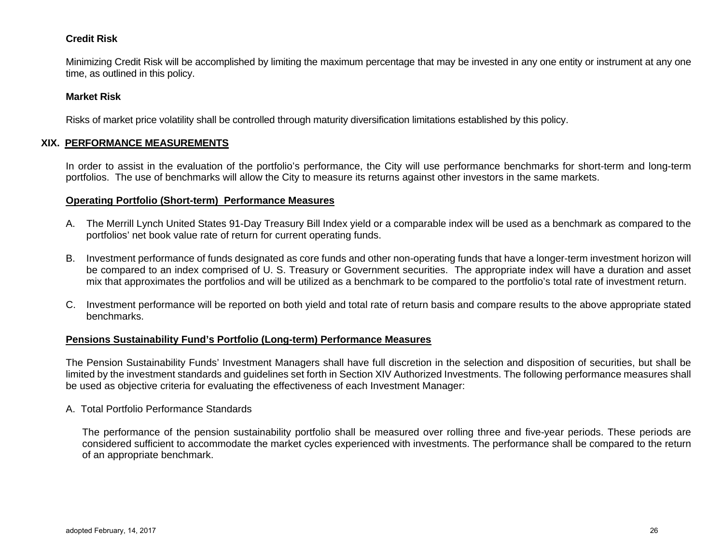#### **Credit Risk**

Minimizing Credit Risk will be accomplished by limiting the maximum percentage that may be invested in any one entity or instrument at any one time, as outlined in this policy.

#### **Market Risk**

Risks of market price volatility shall be controlled through maturity diversification limitations established by this policy.

## **XIX. PERFORMANCE MEASUREMENTS**

In order to assist in the evaluation of the portfolio's performance, the City will use performance benchmarks for short-term and long-term portfolios. The use of benchmarks will allow the City to measure its returns against other investors in the same markets.

#### **Operating Portfolio (Short-term) Performance Measures**

- A. The Merrill Lynch United States 91-Day Treasury Bill Index yield or a comparable index will be used as a benchmark as compared to the portfolios' net book value rate of return for current operating funds.
- B. Investment performance of funds designated as core funds and other non-operating funds that have a longer-term investment horizon will be compared to an index comprised of U. S. Treasury or Government securities. The appropriate index will have a duration and asset mix that approximates the portfolios and will be utilized as a benchmark to be compared to the portfolio's total rate of investment return.
- C. Investment performance will be reported on both yield and total rate of return basis and compare results to the above appropriate stated benchmarks.

#### **Pensions Sustainability Fund's Portfolio (Long-term) Performance Measures**

The Pension Sustainability Funds' Investment Managers shall have full discretion in the selection and disposition of securities, but shall be limited by the investment standards and guidelines set forth in Section XIV Authorized Investments. The following performance measures shall be used as objective criteria for evaluating the effectiveness of each Investment Manager:

#### A. Total Portfolio Performance Standards

 The performance of the pension sustainability portfolio shall be measured over rolling three and five-year periods. These periods are considered sufficient to accommodate the market cycles experienced with investments. The performance shall be compared to the return of an appropriate benchmark.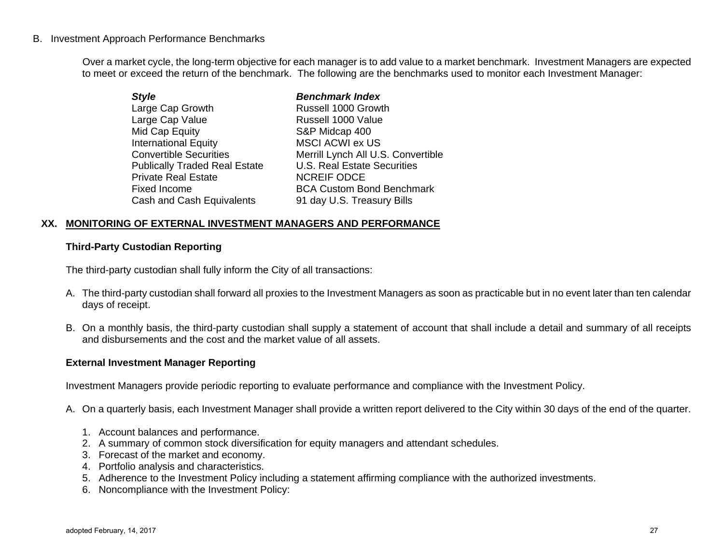## B. Investment Approach Performance Benchmarks

 Over a market cycle, the long-term objective for each manager is to add value to a market benchmark. Investment Managers are expected to meet or exceed the return of the benchmark. The following are the benchmarks used to monitor each Investment Manager:

| Merrill Lynch All U.S. Convertible |
|------------------------------------|
|                                    |
|                                    |
| <b>BCA Custom Bond Benchmark</b>   |
|                                    |
|                                    |

#### **XX. MONITORING OF EXTERNAL INVESTMENT MANAGERS AND PERFORMANCE**

#### **Third-Party Custodian Reporting**

The third-party custodian shall fully inform the City of all transactions:

- A. The third-party custodian shall forward all proxies to the Investment Managers as soon as practicable but in no event later than ten calendar days of receipt.
- B. On a monthly basis, the third-party custodian shall supply a statement of account that shall include a detail and summary of all receipts and disbursements and the cost and the market value of all assets.

#### **External Investment Manager Reporting**

Investment Managers provide periodic reporting to evaluate performance and compliance with the Investment Policy.

- A. On a quarterly basis, each Investment Manager shall provide a written report delivered to the City within 30 days of the end of the quarter.
	- 1. Account balances and performance.
	- 2. A summary of common stock diversification for equity managers and attendant schedules.
	- 3. Forecast of the market and economy.
	- 4. Portfolio analysis and characteristics.
	- 5. Adherence to the Investment Policy including a statement affirming compliance with the authorized investments.
	- 6. Noncompliance with the Investment Policy: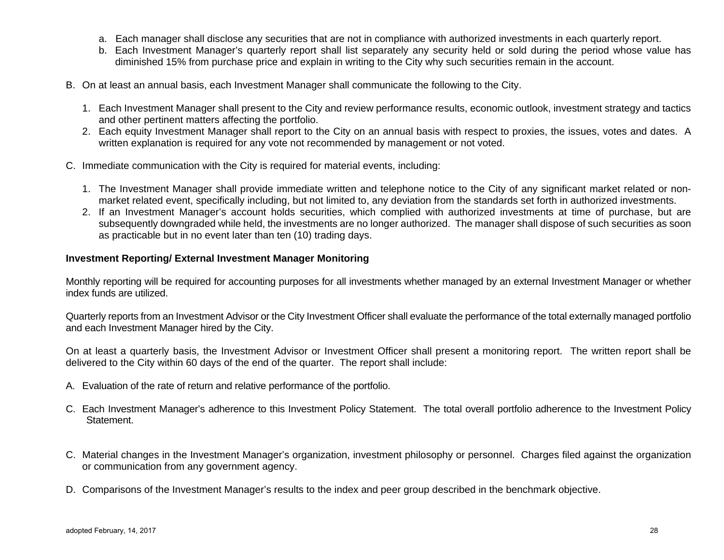- a. Each manager shall disclose any securities that are not in compliance with authorized investments in each quarterly report.
- b. Each Investment Manager's quarterly report shall list separately any security held or sold during the period whose value has diminished 15% from purchase price and explain in writing to the City why such securities remain in the account.
- B. On at least an annual basis, each Investment Manager shall communicate the following to the City.
	- 1. Each Investment Manager shall present to the City and review performance results, economic outlook, investment strategy and tactics and other pertinent matters affecting the portfolio.
	- 2. Each equity Investment Manager shall report to the City on an annual basis with respect to proxies, the issues, votes and dates. A written explanation is required for any vote not recommended by management or not voted.
- C. Immediate communication with the City is required for material events, including:
	- 1. The Investment Manager shall provide immediate written and telephone notice to the City of any significant market related or nonmarket related event, specifically including, but not limited to, any deviation from the standards set forth in authorized investments.
	- 2. If an Investment Manager's account holds securities, which complied with authorized investments at time of purchase, but are subsequently downgraded while held, the investments are no longer authorized. The manager shall dispose of such securities as soon as practicable but in no event later than ten (10) trading days.

## **Investment Reporting/ External Investment Manager Monitoring**

Monthly reporting will be required for accounting purposes for all investments whether managed by an external Investment Manager or whether index funds are utilized.

Quarterly reports from an Investment Advisor or the City Investment Officer shall evaluate the performance of the total externally managed portfolio and each Investment Manager hired by the City.

On at least a quarterly basis, the Investment Advisor or Investment Officer shall present a monitoring report. The written report shall be delivered to the City within 60 days of the end of the quarter. The report shall include:

- A. Evaluation of the rate of return and relative performance of the portfolio.
- C. Each Investment Manager's adherence to this Investment Policy Statement. The total overall portfolio adherence to the Investment Policy Statement.
- C. Material changes in the Investment Manager's organization, investment philosophy or personnel. Charges filed against the organization or communication from any government agency.
- D. Comparisons of the Investment Manager's results to the index and peer group described in the benchmark objective.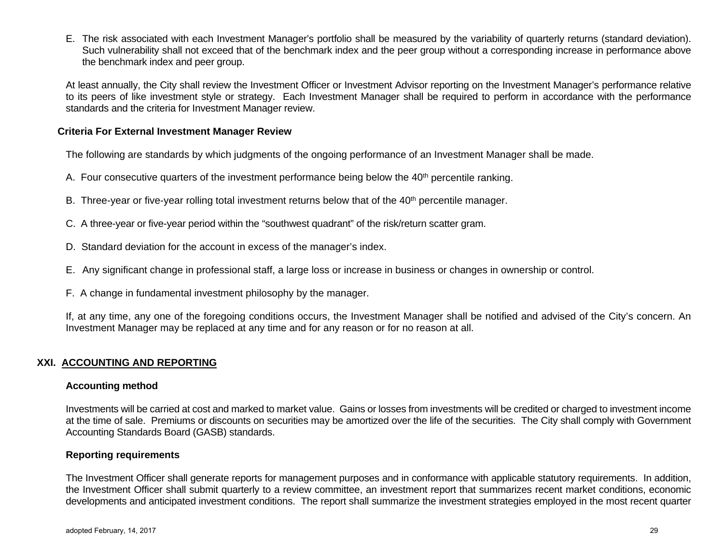E. The risk associated with each Investment Manager's portfolio shall be measured by the variability of quarterly returns (standard deviation). Such vulnerability shall not exceed that of the benchmark index and the peer group without a corresponding increase in performance above the benchmark index and peer group.

At least annually, the City shall review the Investment Officer or Investment Advisor reporting on the Investment Manager's performance relative to its peers of like investment style or strategy. Each Investment Manager shall be required to perform in accordance with the performance standards and the criteria for Investment Manager review.

#### **Criteria For External Investment Manager Review**

The following are standards by which judgments of the ongoing performance of an Investment Manager shall be made.

- A. Four consecutive quarters of the investment performance being below the  $40<sup>th</sup>$  percentile ranking.
- B. Three-year or five-year rolling total investment returns below that of the 40<sup>th</sup> percentile manager.
- C. A three-year or five-year period within the "southwest quadrant" of the risk/return scatter gram.
- D. Standard deviation for the account in excess of the manager's index.
- E. Any significant change in professional staff, a large loss or increase in business or changes in ownership or control.
- F. A change in fundamental investment philosophy by the manager.

If, at any time, any one of the foregoing conditions occurs, the Investment Manager shall be notified and advised of the City's concern. An Investment Manager may be replaced at any time and for any reason or for no reason at all.

## **XXI. ACCOUNTING AND REPORTING**

#### **Accounting method**

Investments will be carried at cost and marked to market value. Gains or losses from investments will be credited or charged to investment income at the time of sale. Premiums or discounts on securities may be amortized over the life of the securities. The City shall comply with Government Accounting Standards Board (GASB) standards.

## **Reporting requirements**

The Investment Officer shall generate reports for management purposes and in conformance with applicable statutory requirements. In addition, the Investment Officer shall submit quarterly to a review committee, an investment report that summarizes recent market conditions, economic developments and anticipated investment conditions. The report shall summarize the investment strategies employed in the most recent quarter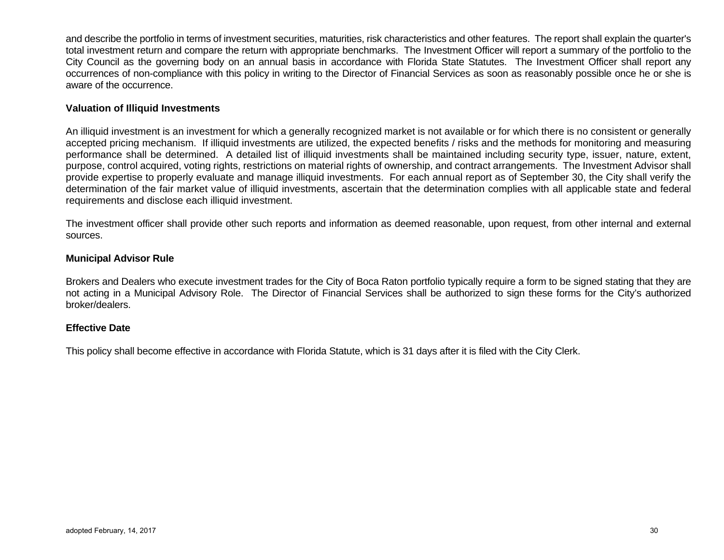and describe the portfolio in terms of investment securities, maturities, risk characteristics and other features. The report shall explain the quarter's total investment return and compare the return with appropriate benchmarks. The Investment Officer will report a summary of the portfolio to the City Council as the governing body on an annual basis in accordance with Florida State Statutes. The Investment Officer shall report any occurrences of non-compliance with this policy in writing to the Director of Financial Services as soon as reasonably possible once he or she is aware of the occurrence.

#### **Valuation of Illiquid Investments**

An illiquid investment is an investment for which a generally recognized market is not available or for which there is no consistent or generally accepted pricing mechanism. If illiquid investments are utilized, the expected benefits / risks and the methods for monitoring and measuring performance shall be determined. A detailed list of illiquid investments shall be maintained including security type, issuer, nature, extent, purpose, control acquired, voting rights, restrictions on material rights of ownership, and contract arrangements. The Investment Advisor shall provide expertise to properly evaluate and manage illiquid investments. For each annual report as of September 30, the City shall verify the determination of the fair market value of illiquid investments, ascertain that the determination complies with all applicable state and federal requirements and disclose each illiquid investment.

The investment officer shall provide other such reports and information as deemed reasonable, upon request, from other internal and external sources.

#### **Municipal Advisor Rule**

Brokers and Dealers who execute investment trades for the City of Boca Raton portfolio typically require a form to be signed stating that they are not acting in a Municipal Advisory Role. The Director of Financial Services shall be authorized to sign these forms for the City's authorized broker/dealers.

#### **Effective Date**

This policy shall become effective in accordance with Florida Statute, which is 31 days after it is filed with the City Clerk.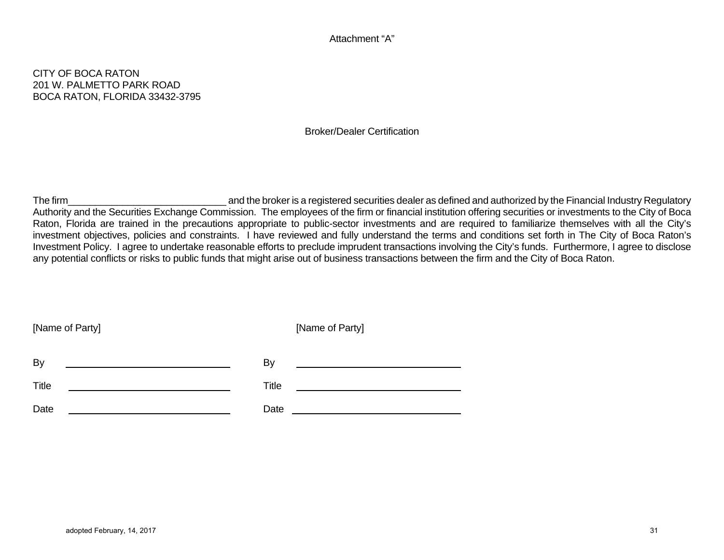#### Attachment "A"

## CITY OF BOCA RATON 201 W. PALMETTO PARK ROAD BOCA RATON, FLORIDA 33432-3795

#### Broker/Dealer Certification

The firm **Example 20** and the broker is a registered securities dealer as defined and authorized by the Financial Industry Regulatory Authority and the Securities Exchange Commission. The employees of the firm or financial institution offering securities or investments to the City of Boca Raton, Florida are trained in the precautions appropriate to public-sector investments and are required to familiarize themselves with all the City's investment objectives, policies and constraints. I have reviewed and fully understand the terms and conditions set forth in The City of Boca Raton's Investment Policy. I agree to undertake reasonable efforts to preclude imprudent transactions involving the City's funds. Furthermore, I agree to disclose any potential conflicts or risks to public funds that might arise out of business transactions between the firm and the City of Boca Raton.

| [Name of Party] | [Name of Party] |
|-----------------|-----------------|
| By              | By              |
|                 |                 |
| Title           | Title           |
| Date            | Date            |
|                 |                 |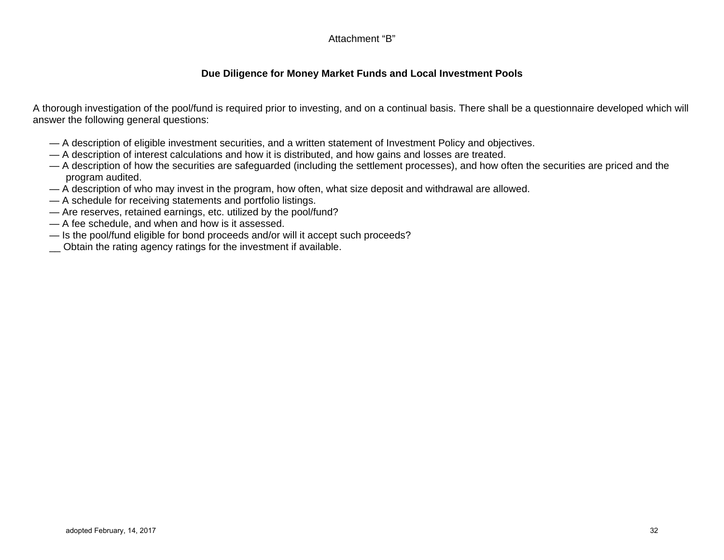## Attachment "B"

## **Due Diligence for Money Market Funds and Local Investment Pools**

A thorough investigation of the pool/fund is required prior to investing, and on a continual basis. There shall be a questionnaire developed which will answer the following general questions:

- A description of eligible investment securities, and a written statement of Investment Policy and objectives.
- A description of interest calculations and how it is distributed, and how gains and losses are treated.
- A description of how the securities are safeguarded (including the settlement processes), and how often the securities are priced and the program audited.
- A description of who may invest in the program, how often, what size deposit and withdrawal are allowed.
- A schedule for receiving statements and portfolio listings.
- Are reserves, retained earnings, etc. utilized by the pool/fund?
- A fee schedule, and when and how is it assessed.
- Is the pool/fund eligible for bond proceeds and/or will it accept such proceeds?
- Obtain the rating agency ratings for the investment if available.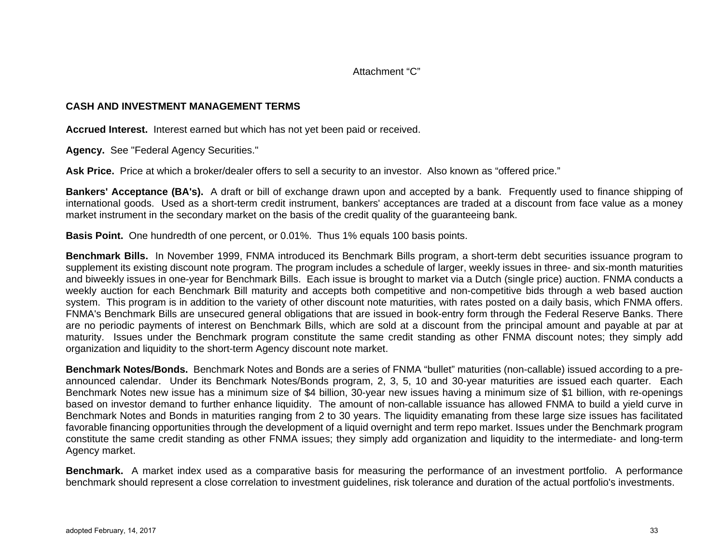Attachment "C"

## **CASH AND INVESTMENT MANAGEMENT TERMS**

**Accrued Interest.** Interest earned but which has not yet been paid or received.

**Agency.** See "Federal Agency Securities."

**Ask Price.** Price at which a broker/dealer offers to sell a security to an investor. Also known as "offered price."

**Bankers' Acceptance (BA's).** A draft or bill of exchange drawn upon and accepted by a bank. Frequently used to finance shipping of international goods. Used as a short-term credit instrument, bankers' acceptances are traded at a discount from face value as a money market instrument in the secondary market on the basis of the credit quality of the guaranteeing bank.

**Basis Point.** One hundredth of one percent, or 0.01%. Thus 1% equals 100 basis points.

**Benchmark Bills.** In November 1999, FNMA introduced its Benchmark Bills program, a short-term debt securities issuance program to supplement its existing discount note program. The program includes a schedule of larger, weekly issues in three- and six-month maturities and biweekly issues in one-year for Benchmark Bills. Each issue is brought to market via a Dutch (single price) auction. FNMA conducts a weekly auction for each Benchmark Bill maturity and accepts both competitive and non-competitive bids through a web based auction system. This program is in addition to the variety of other discount note maturities, with rates posted on a daily basis, which FNMA offers. FNMA's Benchmark Bills are unsecured general obligations that are issued in book-entry form through the Federal Reserve Banks. There are no periodic payments of interest on Benchmark Bills, which are sold at a discount from the principal amount and payable at par at maturity. Issues under the Benchmark program constitute the same credit standing as other FNMA discount notes; they simply add organization and liquidity to the short-term Agency discount note market.

**Benchmark Notes/Bonds.** Benchmark Notes and Bonds are a series of FNMA "bullet" maturities (non-callable) issued according to a preannounced calendar. Under its Benchmark Notes/Bonds program, 2, 3, 5, 10 and 30-year maturities are issued each quarter. Each Benchmark Notes new issue has a minimum size of \$4 billion, 30-year new issues having a minimum size of \$1 billion, with re-openings based on investor demand to further enhance liquidity. The amount of non-callable issuance has allowed FNMA to build a yield curve in Benchmark Notes and Bonds in maturities ranging from 2 to 30 years. The liquidity emanating from these large size issues has facilitated favorable financing opportunities through the development of a liquid overnight and term repo market. Issues under the Benchmark program constitute the same credit standing as other FNMA issues; they simply add organization and liquidity to the intermediate- and long-term Agency market.

**Benchmark.** A market index used as a comparative basis for measuring the performance of an investment portfolio. A performance benchmark should represent a close correlation to investment guidelines, risk tolerance and duration of the actual portfolio's investments.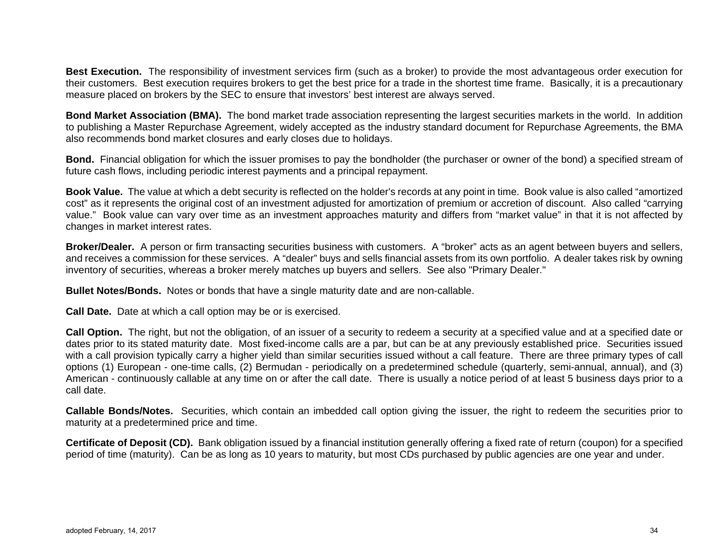**Best Execution.** The responsibility of investment services firm (such as a broker) to provide the most advantageous order execution for their customers. Best execution requires brokers to get the best price for a trade in the shortest time frame. Basically, it is a precautionary measure placed on brokers by the SEC to ensure that investors' best interest are always served.

**Bond Market Association (BMA).** The bond market trade association representing the largest securities markets in the world. In addition to publishing a Master Repurchase Agreement, widely accepted as the industry standard document for Repurchase Agreements, the BMA also recommends bond market closures and early closes due to holidays.

**Bond.** Financial obligation for which the issuer promises to pay the bondholder (the purchaser or owner of the bond) a specified stream of future cash flows, including periodic interest payments and a principal repayment.

**Book Value.** The value at which a debt security is reflected on the holder's records at any point in time. Book value is also called "amortized cost" as it represents the original cost of an investment adjusted for amortization of premium or accretion of discount. Also called "carrying value." Book value can vary over time as an investment approaches maturity and differs from "market value" in that it is not affected by changes in market interest rates.

**Broker/Dealer.** A person or firm transacting securities business with customers. A "broker" acts as an agent between buyers and sellers, and receives a commission for these services. A "dealer" buys and sells financial assets from its own portfolio. A dealer takes risk by owning inventory of securities, whereas a broker merely matches up buyers and sellers. See also "Primary Dealer."

**Bullet Notes/Bonds.** Notes or bonds that have a single maturity date and are non-callable.

**Call Date.** Date at which a call option may be or is exercised.

**Call Option.** The right, but not the obligation, of an issuer of a security to redeem a security at a specified value and at a specified date or dates prior to its stated maturity date. Most fixed-income calls are a par, but can be at any previously established price. Securities issued with a call provision typically carry a higher yield than similar securities issued without a call feature. There are three primary types of call options (1) European - one-time calls, (2) Bermudan - periodically on a predetermined schedule (quarterly, semi-annual, annual), and (3) American - continuously callable at any time on or after the call date. There is usually a notice period of at least 5 business days prior to a call date.

**Callable Bonds/Notes.** Securities, which contain an imbedded call option giving the issuer, the right to redeem the securities prior to maturity at a predetermined price and time.

**Certificate of Deposit (CD).** Bank obligation issued by a financial institution generally offering a fixed rate of return (coupon) for a specified period of time (maturity). Can be as long as 10 years to maturity, but most CDs purchased by public agencies are one year and under.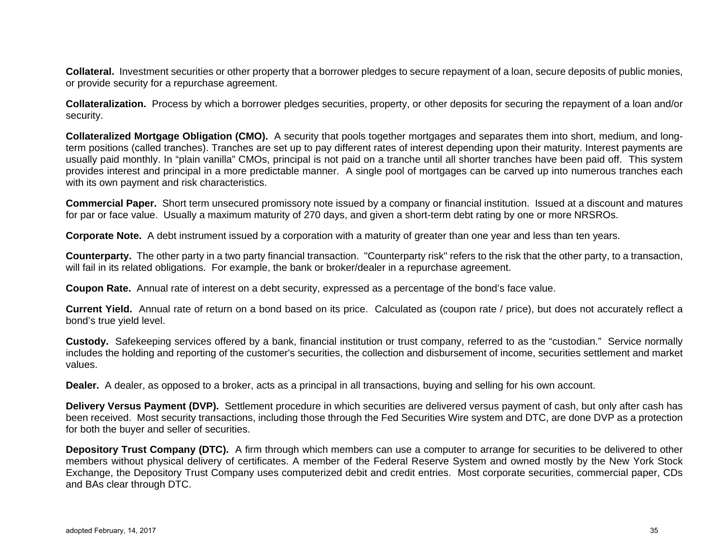**Collateral.** Investment securities or other property that a borrower pledges to secure repayment of a loan, secure deposits of public monies, or provide security for a repurchase agreement.

**Collateralization.** Process by which a borrower pledges securities, property, or other deposits for securing the repayment of a loan and/or security.

**Collateralized Mortgage Obligation (CMO).** A security that pools together mortgages and separates them into short, medium, and longterm positions (called tranches). Tranches are set up to pay different rates of interest depending upon their maturity. Interest payments are usually paid monthly. In "plain vanilla" CMOs, principal is not paid on a tranche until all shorter tranches have been paid off. This system provides interest and principal in a more predictable manner. A single pool of mortgages can be carved up into numerous tranches each with its own payment and risk characteristics.

**Commercial Paper.** Short term unsecured promissory note issued by a company or financial institution. Issued at a discount and matures for par or face value. Usually a maximum maturity of 270 days, and given a short-term debt rating by one or more NRSROs.

**Corporate Note.** A debt instrument issued by a corporation with a maturity of greater than one year and less than ten years.

**Counterparty.** The other party in a two party financial transaction. "Counterparty risk" refers to the risk that the other party, to a transaction, will fail in its related obligations. For example, the bank or broker/dealer in a repurchase agreement.

**Coupon Rate.** Annual rate of interest on a debt security, expressed as a percentage of the bond's face value.

**Current Yield.** Annual rate of return on a bond based on its price. Calculated as (coupon rate / price), but does not accurately reflect a bond's true yield level.

**Custody.** Safekeeping services offered by a bank, financial institution or trust company, referred to as the "custodian." Service normally includes the holding and reporting of the customer's securities, the collection and disbursement of income, securities settlement and market values.

**Dealer.** A dealer, as opposed to a broker, acts as a principal in all transactions, buying and selling for his own account.

**Delivery Versus Payment (DVP).** Settlement procedure in which securities are delivered versus payment of cash, but only after cash has been received. Most security transactions, including those through the Fed Securities Wire system and DTC, are done DVP as a protection for both the buyer and seller of securities.

**Depository Trust Company (DTC).** A firm through which members can use a computer to arrange for securities to be delivered to other members without physical delivery of certificates. A member of the Federal Reserve System and owned mostly by the New York Stock Exchange, the Depository Trust Company uses computerized debit and credit entries. Most corporate securities, commercial paper, CDs and BAs clear through DTC.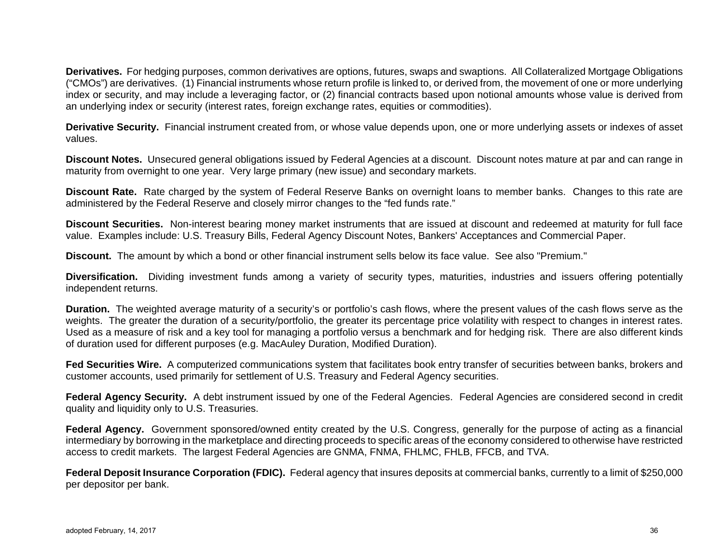**Derivatives.** For hedging purposes, common derivatives are options, futures, swaps and swaptions. All Collateralized Mortgage Obligations ("CMOs") are derivatives. (1) Financial instruments whose return profile is linked to, or derived from, the movement of one or more underlying index or security, and may include a leveraging factor, or (2) financial contracts based upon notional amounts whose value is derived from an underlying index or security (interest rates, foreign exchange rates, equities or commodities).

**Derivative Security.** Financial instrument created from, or whose value depends upon, one or more underlying assets or indexes of asset values.

**Discount Notes.** Unsecured general obligations issued by Federal Agencies at a discount. Discount notes mature at par and can range in maturity from overnight to one year. Very large primary (new issue) and secondary markets.

**Discount Rate.** Rate charged by the system of Federal Reserve Banks on overnight loans to member banks. Changes to this rate are administered by the Federal Reserve and closely mirror changes to the "fed funds rate."

**Discount Securities.** Non-interest bearing money market instruments that are issued at discount and redeemed at maturity for full face value. Examples include: U.S. Treasury Bills, Federal Agency Discount Notes, Bankers' Acceptances and Commercial Paper.

**Discount.** The amount by which a bond or other financial instrument sells below its face value. See also "Premium."

**Diversification.** Dividing investment funds among a variety of security types, maturities, industries and issuers offering potentially independent returns.

**Duration.** The weighted average maturity of a security's or portfolio's cash flows, where the present values of the cash flows serve as the weights. The greater the duration of a security/portfolio, the greater its percentage price volatility with respect to changes in interest rates. Used as a measure of risk and a key tool for managing a portfolio versus a benchmark and for hedging risk. There are also different kinds of duration used for different purposes (e.g. MacAuley Duration, Modified Duration).

**Fed Securities Wire.** A computerized communications system that facilitates book entry transfer of securities between banks, brokers and customer accounts, used primarily for settlement of U.S. Treasury and Federal Agency securities.

**Federal Agency Security.** A debt instrument issued by one of the Federal Agencies. Federal Agencies are considered second in credit quality and liquidity only to U.S. Treasuries.

**Federal Agency.** Government sponsored/owned entity created by the U.S. Congress, generally for the purpose of acting as a financial intermediary by borrowing in the marketplace and directing proceeds to specific areas of the economy considered to otherwise have restricted access to credit markets. The largest Federal Agencies are GNMA, FNMA, FHLMC, FHLB, FFCB, and TVA.

**Federal Deposit Insurance Corporation (FDIC).** Federal agency that insures deposits at commercial banks, currently to a limit of \$250,000 per depositor per bank.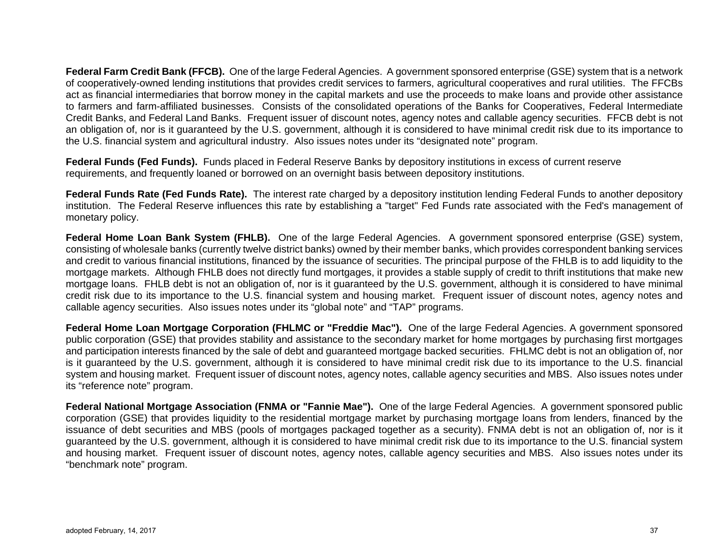**Federal Farm Credit Bank (FFCB).** One of the large Federal Agencies. A government sponsored enterprise (GSE) system that is a network of cooperatively-owned lending institutions that provides credit services to farmers, agricultural cooperatives and rural utilities. The FFCBs act as financial intermediaries that borrow money in the capital markets and use the proceeds to make loans and provide other assistance to farmers and farm-affiliated businesses. Consists of the consolidated operations of the Banks for Cooperatives, Federal Intermediate Credit Banks, and Federal Land Banks. Frequent issuer of discount notes, agency notes and callable agency securities. FFCB debt is not an obligation of, nor is it guaranteed by the U.S. government, although it is considered to have minimal credit risk due to its importance to the U.S. financial system and agricultural industry. Also issues notes under its "designated note" program.

**Federal Funds (Fed Funds).** Funds placed in Federal Reserve Banks by depository institutions in excess of current reserve requirements, and frequently loaned or borrowed on an overnight basis between depository institutions.

**Federal Funds Rate (Fed Funds Rate).** The interest rate charged by a depository institution lending Federal Funds to another depository institution. The Federal Reserve influences this rate by establishing a "target" Fed Funds rate associated with the Fed's management of monetary policy.

**Federal Home Loan Bank System (FHLB).** One of the large Federal Agencies. A government sponsored enterprise (GSE) system, consisting of wholesale banks (currently twelve district banks) owned by their member banks, which provides correspondent banking services and credit to various financial institutions, financed by the issuance of securities. The principal purpose of the FHLB is to add liquidity to the mortgage markets. Although FHLB does not directly fund mortgages, it provides a stable supply of credit to thrift institutions that make new mortgage loans. FHLB debt is not an obligation of, nor is it guaranteed by the U.S. government, although it is considered to have minimal credit risk due to its importance to the U.S. financial system and housing market. Frequent issuer of discount notes, agency notes and callable agency securities. Also issues notes under its "global note" and "TAP" programs.

**Federal Home Loan Mortgage Corporation (FHLMC or "Freddie Mac").** One of the large Federal Agencies. A government sponsored public corporation (GSE) that provides stability and assistance to the secondary market for home mortgages by purchasing first mortgages and participation interests financed by the sale of debt and guaranteed mortgage backed securities. FHLMC debt is not an obligation of, nor is it guaranteed by the U.S. government, although it is considered to have minimal credit risk due to its importance to the U.S. financial system and housing market. Frequent issuer of discount notes, agency notes, callable agency securities and MBS. Also issues notes under its "reference note" program.

**Federal National Mortgage Association (FNMA or "Fannie Mae").** One of the large Federal Agencies. A government sponsored public corporation (GSE) that provides liquidity to the residential mortgage market by purchasing mortgage loans from lenders, financed by the issuance of debt securities and MBS (pools of mortgages packaged together as a security). FNMA debt is not an obligation of, nor is it guaranteed by the U.S. government, although it is considered to have minimal credit risk due to its importance to the U.S. financial system and housing market. Frequent issuer of discount notes, agency notes, callable agency securities and MBS. Also issues notes under its "benchmark note" program.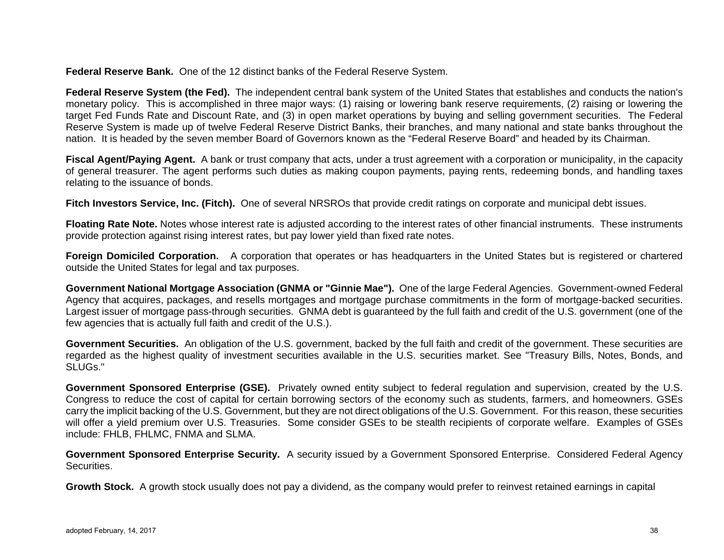**Federal Reserve Bank.** One of the 12 distinct banks of the Federal Reserve System.

**Federal Reserve System (the Fed).** The independent central bank system of the United States that establishes and conducts the nation's monetary policy. This is accomplished in three major ways: (1) raising or lowering bank reserve requirements, (2) raising or lowering the target Fed Funds Rate and Discount Rate, and (3) in open market operations by buying and selling government securities. The Federal Reserve System is made up of twelve Federal Reserve District Banks, their branches, and many national and state banks throughout the nation. It is headed by the seven member Board of Governors known as the "Federal Reserve Board" and headed by its Chairman.

**Fiscal Agent/Paying Agent.** A bank or trust company that acts, under a trust agreement with a corporation or municipality, in the capacity of general treasurer. The agent performs such duties as making coupon payments, paying rents, redeeming bonds, and handling taxes relating to the issuance of bonds.

**Fitch Investors Service, Inc. (Fitch).** One of several NRSROs that provide credit ratings on corporate and municipal debt issues.

**Floating Rate Note.** Notes whose interest rate is adjusted according to the interest rates of other financial instruments. These instruments provide protection against rising interest rates, but pay lower yield than fixed rate notes.

**Foreign Domiciled Corporation.** A corporation that operates or has headquarters in the United States but is registered or chartered outside the United States for legal and tax purposes.

**Government National Mortgage Association (GNMA or "Ginnie Mae").** One of the large Federal Agencies. Government-owned Federal Agency that acquires, packages, and resells mortgages and mortgage purchase commitments in the form of mortgage-backed securities. Largest issuer of mortgage pass-through securities. GNMA debt is guaranteed by the full faith and credit of the U.S. government (one of the few agencies that is actually full faith and credit of the U.S.).

**Government Securities.** An obligation of the U.S. government, backed by the full faith and credit of the government. These securities are regarded as the highest quality of investment securities available in the U.S. securities market. See "Treasury Bills, Notes, Bonds, and SLUGs."

**Government Sponsored Enterprise (GSE).** Privately owned entity subject to federal regulation and supervision, created by the U.S. Congress to reduce the cost of capital for certain borrowing sectors of the economy such as students, farmers, and homeowners. GSEs carry the implicit backing of the U.S. Government, but they are not direct obligations of the U.S. Government. For this reason, these securities will offer a yield premium over U.S. Treasuries. Some consider GSEs to be stealth recipients of corporate welfare. Examples of GSEs include: FHLB, FHLMC, FNMA and SLMA.

**Government Sponsored Enterprise Security.** A security issued by a Government Sponsored Enterprise. Considered Federal Agency Securities.

**Growth Stock.** A growth stock usually does not pay a dividend, as the company would prefer to reinvest retained earnings in capital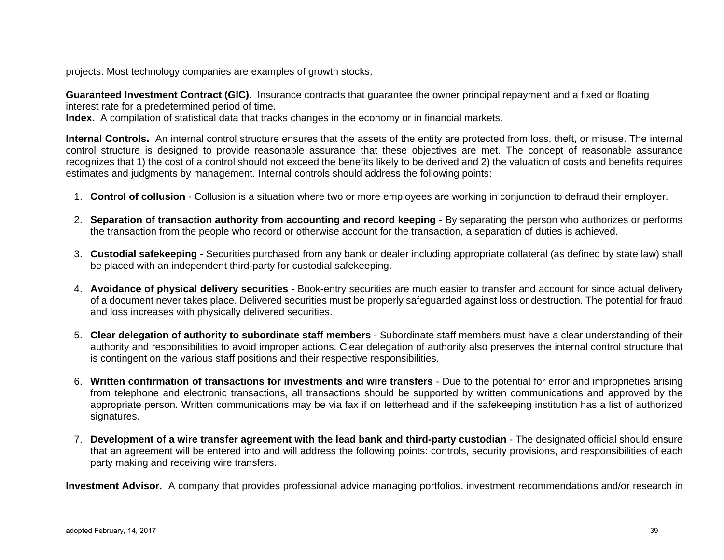projects. Most technology companies are examples of growth stocks.

**Guaranteed Investment Contract (GIC).** Insurance contracts that guarantee the owner principal repayment and a fixed or floating interest rate for a predetermined period of time.

**Index.** A compilation of statistical data that tracks changes in the economy or in financial markets.

**Internal Controls.** An internal control structure ensures that the assets of the entity are protected from loss, theft, or misuse. The internal control structure is designed to provide reasonable assurance that these objectives are met. The concept of reasonable assurance recognizes that 1) the cost of a control should not exceed the benefits likely to be derived and 2) the valuation of costs and benefits requires estimates and judgments by management. Internal controls should address the following points:

- 1. **Control of collusion** Collusion is a situation where two or more employees are working in conjunction to defraud their employer.
- 2. **Separation of transaction authority from accounting and record keeping** By separating the person who authorizes or performs the transaction from the people who record or otherwise account for the transaction, a separation of duties is achieved.
- 3. **Custodial safekeeping** Securities purchased from any bank or dealer including appropriate collateral (as defined by state law) shall be placed with an independent third-party for custodial safekeeping.
- 4. **Avoidance of physical delivery securities** Book-entry securities are much easier to transfer and account for since actual delivery of a document never takes place. Delivered securities must be properly safeguarded against loss or destruction. The potential for fraud and loss increases with physically delivered securities.
- 5. **Clear delegation of authority to subordinate staff members** Subordinate staff members must have a clear understanding of their authority and responsibilities to avoid improper actions. Clear delegation of authority also preserves the internal control structure that is contingent on the various staff positions and their respective responsibilities.
- 6. **Written confirmation of transactions for investments and wire transfers** Due to the potential for error and improprieties arising from telephone and electronic transactions, all transactions should be supported by written communications and approved by the appropriate person. Written communications may be via fax if on letterhead and if the safekeeping institution has a list of authorized signatures.
- 7. **Development of a wire transfer agreement with the lead bank and third-party custodian** The designated official should ensure that an agreement will be entered into and will address the following points: controls, security provisions, and responsibilities of each party making and receiving wire transfers.

**Investment Advisor.** A company that provides professional advice managing portfolios, investment recommendations and/or research in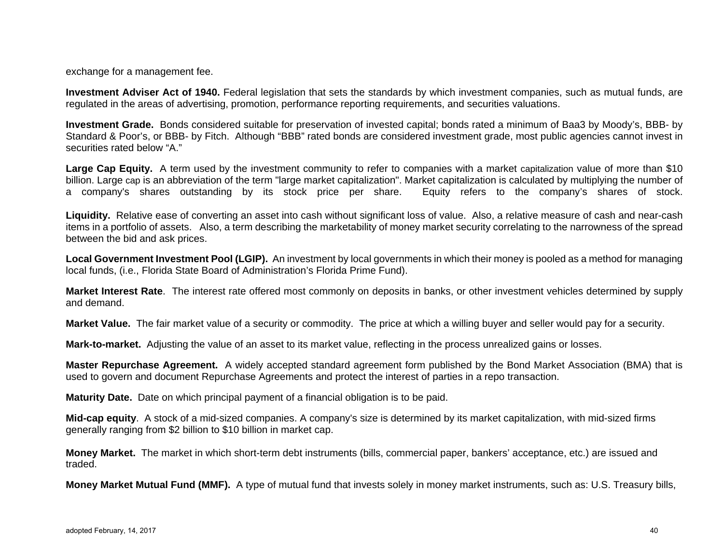exchange for a management fee.

**Investment Adviser Act of 1940.** Federal legislation that sets the standards by which investment companies, such as mutual funds, are regulated in the areas of advertising, promotion, performance reporting requirements, and securities valuations.

**Investment Grade.** Bonds considered suitable for preservation of invested capital; bonds rated a minimum of Baa3 by Moody's, BBB- by Standard & Poor's, or BBB- by Fitch. Although "BBB" rated bonds are considered investment grade, most public agencies cannot invest in securities rated below "A."

Large Cap Equity. A term used by the investment community to refer to companies with a market capitalization value of more than \$10 billion. Large cap is an abbreviation of the term "large market capitalization". Market capitalization is calculated by multiplying the number of a company's shares outstanding by its stock price per share. Equity refers to the company's shares of stock.

**Liquidity.** Relative ease of converting an asset into cash without significant loss of value. Also, a relative measure of cash and near-cash items in a portfolio of assets. Also, a term describing the marketability of money market security correlating to the narrowness of the spread between the bid and ask prices.

**Local Government Investment Pool (LGIP).** An investment by local governments in which their money is pooled as a method for managing local funds, (i.e., Florida State Board of Administration's Florida Prime Fund).

**Market Interest Rate**. The interest rate offered most commonly on deposits in banks, or other investment vehicles determined by supply and demand.

**Market Value.** The fair market value of a security or commodity. The price at which a willing buyer and seller would pay for a security.

**Mark-to-market.** Adjusting the value of an asset to its market value, reflecting in the process unrealized gains or losses.

**Master Repurchase Agreement.** A widely accepted standard agreement form published by the Bond Market Association (BMA) that is used to govern and document Repurchase Agreements and protect the interest of parties in a repo transaction.

**Maturity Date.** Date on which principal payment of a financial obligation is to be paid.

**Mid-cap equity**. A stock of a mid-sized companies. A company's size is determined by its market capitalization, with mid-sized firms generally ranging from \$2 billion to \$10 billion in market cap.

**Money Market.** The market in which short-term debt instruments (bills, commercial paper, bankers' acceptance, etc.) are issued and traded.

**Money Market Mutual Fund (MMF).** A type of mutual fund that invests solely in money market instruments, such as: U.S. Treasury bills,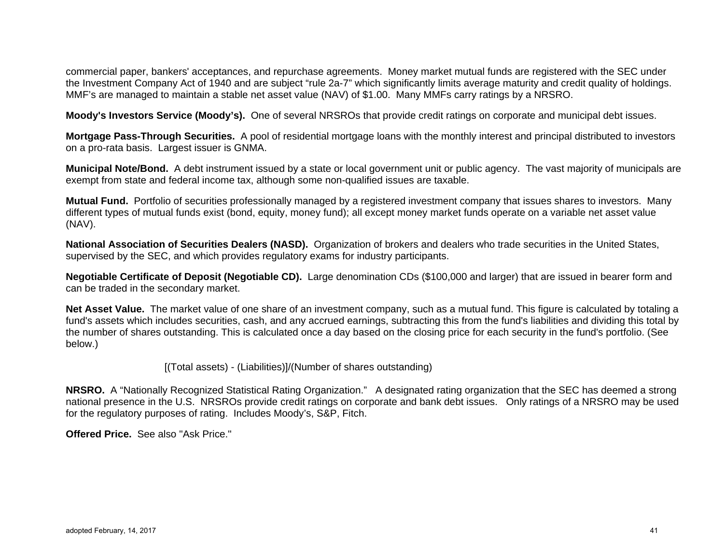commercial paper, bankers' acceptances, and repurchase agreements. Money market mutual funds are registered with the SEC under the Investment Company Act of 1940 and are subject "rule 2a-7" which significantly limits average maturity and credit quality of holdings. MMF's are managed to maintain a stable net asset value (NAV) of \$1.00. Many MMFs carry ratings by a NRSRO.

**Moody's Investors Service (Moody's).** One of several NRSROs that provide credit ratings on corporate and municipal debt issues.

**Mortgage Pass-Through Securities.** A pool of residential mortgage loans with the monthly interest and principal distributed to investors on a pro-rata basis. Largest issuer is GNMA.

**Municipal Note/Bond.** A debt instrument issued by a state or local government unit or public agency. The vast majority of municipals are exempt from state and federal income tax, although some non-qualified issues are taxable.

**Mutual Fund.** Portfolio of securities professionally managed by a registered investment company that issues shares to investors. Many different types of mutual funds exist (bond, equity, money fund); all except money market funds operate on a variable net asset value (NAV).

**National Association of Securities Dealers (NASD).** Organization of brokers and dealers who trade securities in the United States, supervised by the SEC, and which provides regulatory exams for industry participants.

**Negotiable Certificate of Deposit (Negotiable CD).** Large denomination CDs (\$100,000 and larger) that are issued in bearer form and can be traded in the secondary market.

**Net Asset Value.** The market value of one share of an investment company, such as a mutual fund. This figure is calculated by totaling a fund's assets which includes securities, cash, and any accrued earnings, subtracting this from the fund's liabilities and dividing this total by the number of shares outstanding. This is calculated once a day based on the closing price for each security in the fund's portfolio. (See below.)

[(Total assets) - (Liabilities)]/(Number of shares outstanding)

**NRSRO.** A "Nationally Recognized Statistical Rating Organization." A designated rating organization that the SEC has deemed a strong national presence in the U.S. NRSROs provide credit ratings on corporate and bank debt issues. Only ratings of a NRSRO may be used for the regulatory purposes of rating. Includes Moody's, S&P, Fitch.

**Offered Price.** See also "Ask Price."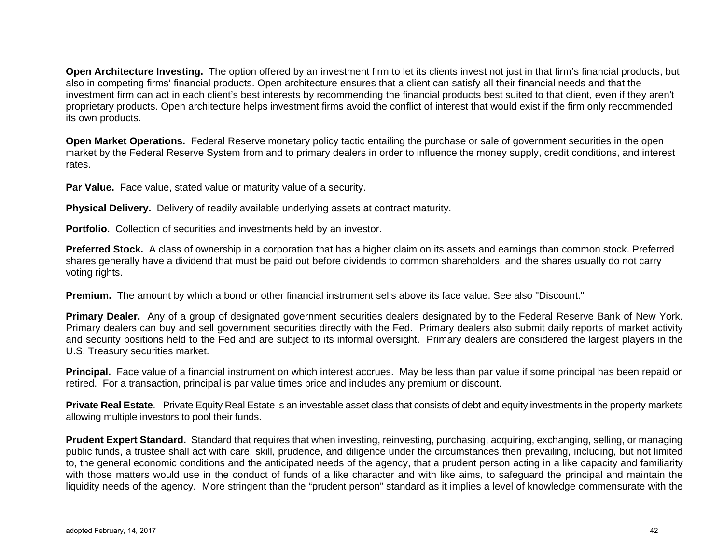**Open Architecture Investing.** The option offered by an investment firm to let its clients invest not just in that firm's financial products, but also in competing firms' financial products. Open architecture ensures that a client can satisfy all their financial needs and that the investment firm can act in each client's best interests by recommending the financial products best suited to that client, even if they aren't proprietary products. Open architecture helps investment firms avoid the conflict of interest that would exist if the firm only recommended its own products.

**Open Market Operations.** Federal Reserve monetary policy tactic entailing the purchase or sale of government securities in the open market by the Federal Reserve System from and to primary dealers in order to influence the money supply, credit conditions, and interest rates.

**Par Value.** Face value, stated value or maturity value of a security.

**Physical Delivery.** Delivery of readily available underlying assets at contract maturity.

**Portfolio.** Collection of securities and investments held by an investor.

**Preferred Stock.** A class of ownership in a corporation that has a higher claim on its assets and earnings than common stock. Preferred shares generally have a dividend that must be paid out before dividends to common shareholders, and the shares usually do not carry voting rights.

**Premium.** The amount by which a bond or other financial instrument sells above its face value. See also "Discount."

**Primary Dealer.** Any of a group of designated government securities dealers designated by to the Federal Reserve Bank of New York. Primary dealers can buy and sell government securities directly with the Fed. Primary dealers also submit daily reports of market activity and security positions held to the Fed and are subject to its informal oversight. Primary dealers are considered the largest players in the U.S. Treasury securities market.

**Principal.** Face value of a financial instrument on which interest accrues. May be less than par value if some principal has been repaid or retired. For a transaction, principal is par value times price and includes any premium or discount.

**Private Real Estate**. Private Equity Real Estate is an investable asset class that consists of debt and equity investments in the property markets allowing multiple investors to pool their funds.

**Prudent Expert Standard.** Standard that requires that when investing, reinvesting, purchasing, acquiring, exchanging, selling, or managing public funds, a trustee shall act with care, skill, prudence, and diligence under the circumstances then prevailing, including, but not limited to, the general economic conditions and the anticipated needs of the agency, that a prudent person acting in a like capacity and familiarity with those matters would use in the conduct of funds of a like character and with like aims, to safeguard the principal and maintain the liquidity needs of the agency. More stringent than the "prudent person" standard as it implies a level of knowledge commensurate with the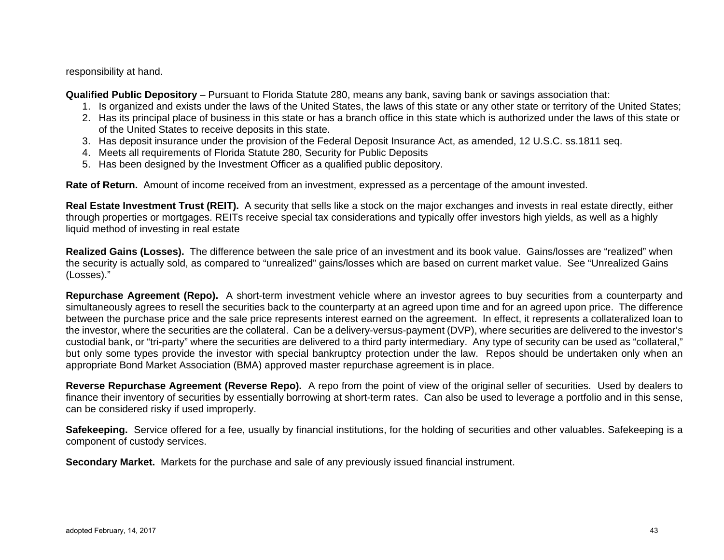responsibility at hand.

**Qualified Public Depository** – Pursuant to Florida Statute 280, means any bank, saving bank or savings association that:

- 1. Is organized and exists under the laws of the United States, the laws of this state or any other state or territory of the United States;
- 2. Has its principal place of business in this state or has a branch office in this state which is authorized under the laws of this state or of the United States to receive deposits in this state.
- 3. Has deposit insurance under the provision of the Federal Deposit Insurance Act, as amended, 12 U.S.C. ss.1811 seq.
- 4. Meets all requirements of Florida Statute 280, Security for Public Deposits
- 5. Has been designed by the Investment Officer as a qualified public depository.

**Rate of Return.** Amount of income received from an investment, expressed as a percentage of the amount invested.

**Real Estate Investment Trust (REIT).** A security that sells like a stock on the major exchanges and invests in real estate directly, either through properties or mortgages. REITs receive special tax considerations and typically offer investors high yields, as well as a highly liquid method of investing in real estate

**Realized Gains (Losses).** The difference between the sale price of an investment and its book value. Gains/losses are "realized" when the security is actually sold, as compared to "unrealized" gains/losses which are based on current market value. See "Unrealized Gains (Losses)."

**Repurchase Agreement (Repo).** A short-term investment vehicle where an investor agrees to buy securities from a counterparty and simultaneously agrees to resell the securities back to the counterparty at an agreed upon time and for an agreed upon price. The difference between the purchase price and the sale price represents interest earned on the agreement. In effect, it represents a collateralized loan to the investor, where the securities are the collateral. Can be a delivery-versus-payment (DVP), where securities are delivered to the investor's custodial bank, or "tri-party" where the securities are delivered to a third party intermediary. Any type of security can be used as "collateral," but only some types provide the investor with special bankruptcy protection under the law. Repos should be undertaken only when an appropriate Bond Market Association (BMA) approved master repurchase agreement is in place.

**Reverse Repurchase Agreement (Reverse Repo).** A repo from the point of view of the original seller of securities. Used by dealers to finance their inventory of securities by essentially borrowing at short-term rates. Can also be used to leverage a portfolio and in this sense, can be considered risky if used improperly.

**Safekeeping.** Service offered for a fee, usually by financial institutions, for the holding of securities and other valuables. Safekeeping is a component of custody services.

**Secondary Market.** Markets for the purchase and sale of any previously issued financial instrument.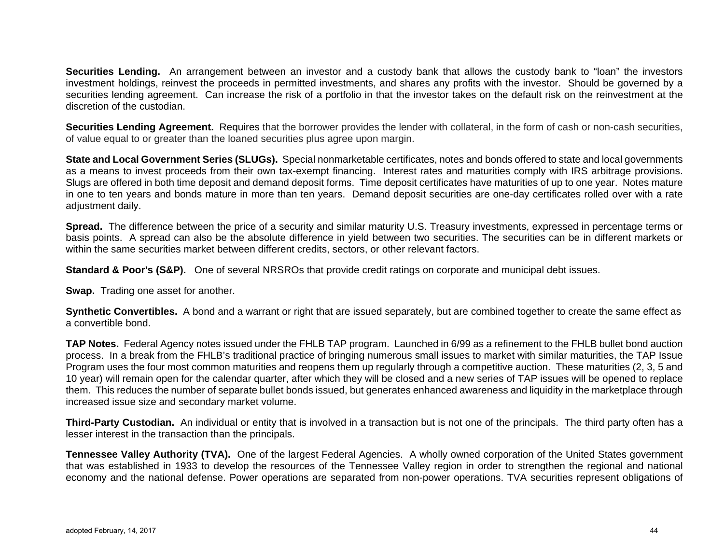**Securities Lending.** An arrangement between an investor and a custody bank that allows the custody bank to "loan" the investors investment holdings, reinvest the proceeds in permitted investments, and shares any profits with the investor. Should be governed by a securities lending agreement. Can increase the risk of a portfolio in that the investor takes on the default risk on the reinvestment at the discretion of the custodian.

**Securities Lending Agreement.** Requires that the borrower provides the lender with collateral, in the form of cash or non-cash securities, of value equal to or greater than the loaned securities plus agree upon margin.

**State and Local Government Series (SLUGs).** Special nonmarketable certificates, notes and bonds offered to state and local governments as a means to invest proceeds from their own tax-exempt financing. Interest rates and maturities comply with IRS arbitrage provisions. Slugs are offered in both time deposit and demand deposit forms. Time deposit certificates have maturities of up to one year. Notes mature in one to ten years and bonds mature in more than ten years. Demand deposit securities are one-day certificates rolled over with a rate adjustment daily.

**Spread.** The difference between the price of a security and similar maturity U.S. Treasury investments, expressed in percentage terms or basis points. A spread can also be the absolute difference in yield between two securities. The securities can be in different markets or within the same securities market between different credits, sectors, or other relevant factors.

**Standard & Poor's (S&P).** One of several NRSROs that provide credit ratings on corporate and municipal debt issues.

**Swap.** Trading one asset for another.

**Synthetic Convertibles.** A bond and a warrant or right that are issued separately, but are combined together to create the same effect as a convertible bond.

**TAP Notes.** Federal Agency notes issued under the FHLB TAP program. Launched in 6/99 as a refinement to the FHLB bullet bond auction process. In a break from the FHLB's traditional practice of bringing numerous small issues to market with similar maturities, the TAP Issue Program uses the four most common maturities and reopens them up regularly through a competitive auction. These maturities (2, 3, 5 and 10 year) will remain open for the calendar quarter, after which they will be closed and a new series of TAP issues will be opened to replace them. This reduces the number of separate bullet bonds issued, but generates enhanced awareness and liquidity in the marketplace through increased issue size and secondary market volume.

**Third-Party Custodian.** An individual or entity that is involved in a transaction but is not one of the principals. The third party often has a lesser interest in the transaction than the principals.

**Tennessee Valley Authority (TVA).** One of the largest Federal Agencies. A wholly owned corporation of the United States government that was established in 1933 to develop the resources of the Tennessee Valley region in order to strengthen the regional and national economy and the national defense. Power operations are separated from non-power operations. TVA securities represent obligations of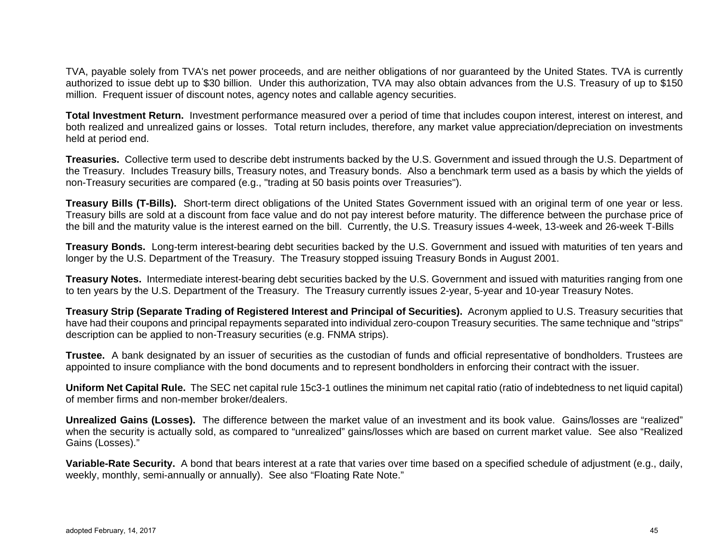TVA, payable solely from TVA's net power proceeds, and are neither obligations of nor guaranteed by the United States. TVA is currently authorized to issue debt up to \$30 billion. Under this authorization, TVA may also obtain advances from the U.S. Treasury of up to \$150 million. Frequent issuer of discount notes, agency notes and callable agency securities.

**Total Investment Return.** Investment performance measured over a period of time that includes coupon interest, interest on interest, and both realized and unrealized gains or losses. Total return includes, therefore, any market value appreciation/depreciation on investments held at period end.

**Treasuries.** Collective term used to describe debt instruments backed by the U.S. Government and issued through the U.S. Department of the Treasury. Includes Treasury bills, Treasury notes, and Treasury bonds. Also a benchmark term used as a basis by which the yields of non-Treasury securities are compared (e.g., "trading at 50 basis points over Treasuries").

**Treasury Bills (T-Bills).** Short-term direct obligations of the United States Government issued with an original term of one year or less. Treasury bills are sold at a discount from face value and do not pay interest before maturity. The difference between the purchase price of the bill and the maturity value is the interest earned on the bill. Currently, the U.S. Treasury issues 4-week, 13-week and 26-week T-Bills

**Treasury Bonds.** Long-term interest-bearing debt securities backed by the U.S. Government and issued with maturities of ten years and longer by the U.S. Department of the Treasury. The Treasury stopped issuing Treasury Bonds in August 2001.

**Treasury Notes.** Intermediate interest-bearing debt securities backed by the U.S. Government and issued with maturities ranging from one to ten years by the U.S. Department of the Treasury. The Treasury currently issues 2-year, 5-year and 10-year Treasury Notes.

**Treasury Strip (Separate Trading of Registered Interest and Principal of Securities).** Acronym applied to U.S. Treasury securities that have had their coupons and principal repayments separated into individual zero-coupon Treasury securities. The same technique and "strips" description can be applied to non-Treasury securities (e.g. FNMA strips).

**Trustee.** A bank designated by an issuer of securities as the custodian of funds and official representative of bondholders. Trustees are appointed to insure compliance with the bond documents and to represent bondholders in enforcing their contract with the issuer.

**Uniform Net Capital Rule.** The SEC net capital rule 15c3-1 outlines the minimum net capital ratio (ratio of indebtedness to net liquid capital) of member firms and non-member broker/dealers.

**Unrealized Gains (Losses).** The difference between the market value of an investment and its book value. Gains/losses are "realized" when the security is actually sold, as compared to "unrealized" gains/losses which are based on current market value. See also "Realized Gains (Losses)."

**Variable-Rate Security.** A bond that bears interest at a rate that varies over time based on a specified schedule of adjustment (e.g., daily, weekly, monthly, semi-annually or annually). See also "Floating Rate Note."